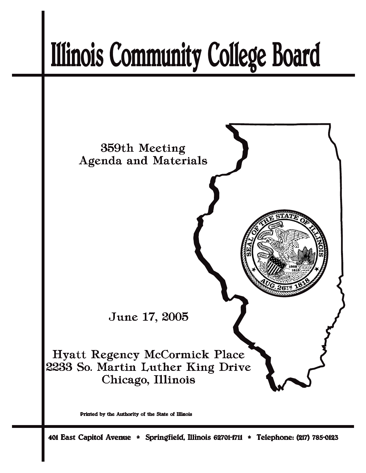# **Illinois Community College Board**



Printed by the Authority of the State of Illinois

401 East Capitol Avenue \* Springfield, Illinois 62701-1711 \* Telephone: (217) 785-0123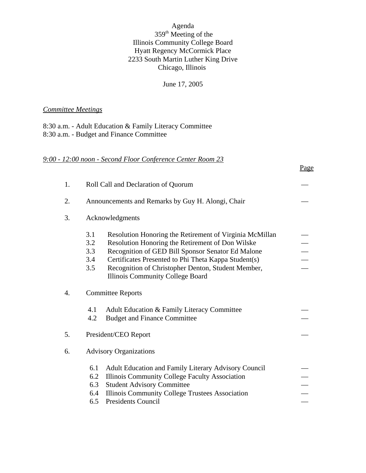## Agenda 359th Meeting of the Illinois Community College Board Hyatt Regency McCormick Place 2233 South Martin Luther King Drive Chicago, Illinois

June 17, 2005

## *Committee Meetings*

8:30 a.m. - Adult Education & Family Literacy Committee 8:30 a.m. - Budget and Finance Committee

## *9:00 - 12:00 noon - Second Floor Conference Center Room 23*

|                                                                                                                                                                                                                                                                                                                                                              | Page                             |
|--------------------------------------------------------------------------------------------------------------------------------------------------------------------------------------------------------------------------------------------------------------------------------------------------------------------------------------------------------------|----------------------------------|
| Roll Call and Declaration of Quorum                                                                                                                                                                                                                                                                                                                          |                                  |
| Announcements and Remarks by Guy H. Alongi, Chair                                                                                                                                                                                                                                                                                                            |                                  |
| Acknowledgments                                                                                                                                                                                                                                                                                                                                              |                                  |
| 3.1<br>Resolution Honoring the Retirement of Virginia McMillan<br>Resolution Honoring the Retirement of Don Wilske<br>3.2<br>Recognition of GED Bill Sponsor Senator Ed Malone<br>3.3<br>Certificates Presented to Phi Theta Kappa Student(s)<br>3.4<br>Recognition of Christopher Denton, Student Member,<br>3.5<br><b>Illinois Community College Board</b> |                                  |
| <b>Committee Reports</b>                                                                                                                                                                                                                                                                                                                                     |                                  |
| 4.1<br>Adult Education & Family Literacy Committee<br>4.2<br><b>Budget and Finance Committee</b>                                                                                                                                                                                                                                                             |                                  |
| President/CEO Report                                                                                                                                                                                                                                                                                                                                         |                                  |
| <b>Advisory Organizations</b>                                                                                                                                                                                                                                                                                                                                |                                  |
| 6.1<br>Adult Education and Family Literary Advisory Council<br>6.2<br>Illinois Community College Faculty Association<br>6.3<br><b>Student Advisory Committee</b><br>Illinois Community College Trustees Association<br>6.4                                                                                                                                   |                                  |
|                                                                                                                                                                                                                                                                                                                                                              | <b>Presidents Council</b><br>6.5 |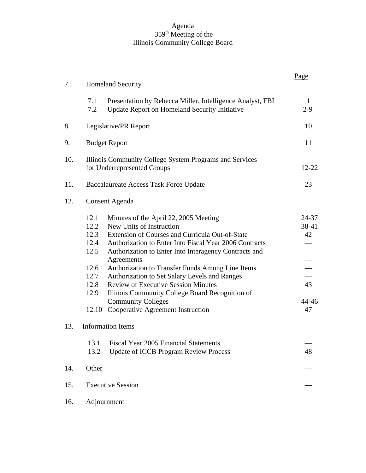#### Agenda 359th Meeting of the Illinois Community College Board

|     |                                                                                                                                                                                                                                                                                                                                                                                                                                                                                                                                                                                                          | Page                                      |
|-----|----------------------------------------------------------------------------------------------------------------------------------------------------------------------------------------------------------------------------------------------------------------------------------------------------------------------------------------------------------------------------------------------------------------------------------------------------------------------------------------------------------------------------------------------------------------------------------------------------------|-------------------------------------------|
| 7.  | <b>Homeland Security</b>                                                                                                                                                                                                                                                                                                                                                                                                                                                                                                                                                                                 |                                           |
|     | 7.1<br>Presentation by Rebecca Miller, Intelligence Analyst, FBI<br>7.2<br>Update Report on Homeland Security Initiative                                                                                                                                                                                                                                                                                                                                                                                                                                                                                 | 1<br>$2 - 9$                              |
| 8.  | Legislative/PR Report                                                                                                                                                                                                                                                                                                                                                                                                                                                                                                                                                                                    | 10                                        |
| 9.  | <b>Budget Report</b>                                                                                                                                                                                                                                                                                                                                                                                                                                                                                                                                                                                     | 11                                        |
| 10. | Illinois Community College System Programs and Services<br>for Underrepresented Groups                                                                                                                                                                                                                                                                                                                                                                                                                                                                                                                   | $12 - 22$                                 |
| 11. | Baccalaureate Access Task Force Update                                                                                                                                                                                                                                                                                                                                                                                                                                                                                                                                                                   | 23                                        |
| 12. | <b>Consent Agenda</b>                                                                                                                                                                                                                                                                                                                                                                                                                                                                                                                                                                                    |                                           |
|     | 12.1<br>Minutes of the April 22, 2005 Meeting<br>New Units of Instruction<br>12.2<br>12.3 Extension of Courses and Curricula Out-of-State<br>12.4 Authorization to Enter Into Fiscal Year 2006 Contracts<br>12.5<br>Authorization to Enter Into Interagency Contracts and<br>Agreements<br>12.6<br>Authorization to Transfer Funds Among Line Items<br>Authorization to Set Salary Levels and Ranges<br>12.7<br><b>Review of Executive Session Minutes</b><br>12.8<br>12.9<br>Illinois Community College Board Recognition of<br><b>Community Colleges</b><br>Cooperative Agreement Instruction<br>12.10 | 24-37<br>38-41<br>42<br>43<br>44-46<br>47 |
| 13. | <b>Information Items</b>                                                                                                                                                                                                                                                                                                                                                                                                                                                                                                                                                                                 |                                           |
|     | 13.1<br><b>Fiscal Year 2005 Financial Statements</b><br>13.2<br><b>Update of ICCB Program Review Process</b>                                                                                                                                                                                                                                                                                                                                                                                                                                                                                             | 48                                        |
| 14. | Other                                                                                                                                                                                                                                                                                                                                                                                                                                                                                                                                                                                                    |                                           |
| 15. | <b>Executive Session</b>                                                                                                                                                                                                                                                                                                                                                                                                                                                                                                                                                                                 |                                           |
| 16. | Adjournment                                                                                                                                                                                                                                                                                                                                                                                                                                                                                                                                                                                              |                                           |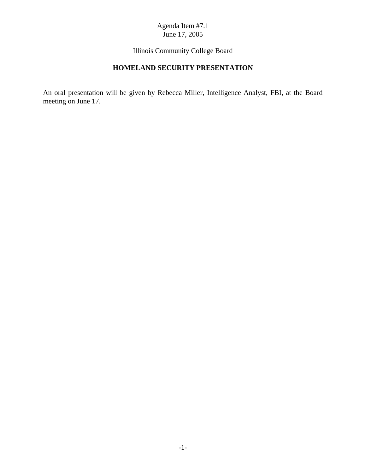Illinois Community College Board

# **HOMELAND SECURITY PRESENTATION**

An oral presentation will be given by Rebecca Miller, Intelligence Analyst, FBI, at the Board meeting on June 17.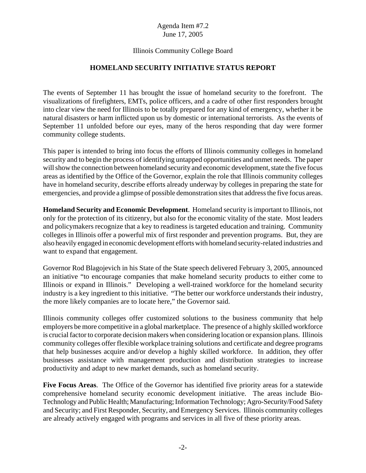## Agenda Item #7.2 June 17, 2005

## Illinois Community College Board

#### **HOMELAND SECURITY INITIATIVE STATUS REPORT**

The events of September 11 has brought the issue of homeland security to the forefront. The visualizations of firefighters, EMTs, police officers, and a cadre of other first responders brought into clear view the need for Illinois to be totally prepared for any kind of emergency, whether it be natural disasters or harm inflicted upon us by domestic or international terrorists. As the events of September 11 unfolded before our eyes, many of the heros responding that day were former community college students.

This paper is intended to bring into focus the efforts of Illinois community colleges in homeland security and to begin the process of identifying untapped opportunities and unmet needs. The paper will show the connection between homeland security and economic development, state the five focus areas as identified by the Office of the Governor, explain the role that Illinois community colleges have in homeland security, describe efforts already underway by colleges in preparing the state for emergencies, and provide a glimpse of possible demonstration sites that address the five focus areas.

**Homeland Security and Economic Development**. Homeland security is important to Illinois, not only for the protection of its citizenry, but also for the economic vitality of the state. Most leaders and policymakers recognize that a key to readiness is targeted education and training. Community colleges in Illinois offer a powerful mix of first responder and prevention programs. But, they are also heavily engaged in economic development efforts with homeland security-related industries and want to expand that engagement.

Governor Rod Blagojevich in his State of the State speech delivered February 3, 2005, announced an initiative "to encourage companies that make homeland security products to either come to Illinois or expand in Illinois." Developing a well-trained workforce for the homeland security industry is a key ingredient to this initiative. "The better our workforce understands their industry, the more likely companies are to locate here," the Governor said.

Illinois community colleges offer customized solutions to the business community that help employers be more competitive in a global marketplace. The presence of a highly skilled workforce is crucial factor to corporate decision makers when considering location or expansion plans. Illinois community colleges offer flexible workplace training solutions and certificate and degree programs that help businesses acquire and/or develop a highly skilled workforce. In addition, they offer businesses assistance with management production and distribution strategies to increase productivity and adapt to new market demands, such as homeland security.

**Five Focus Areas**. The Office of the Governor has identified five priority areas for a statewide comprehensive homeland security economic development initiative. The areas include Bio-Technology and Public Health; Manufacturing; Information Technology; Agro-Security/Food Safety and Security; and First Responder, Security, and Emergency Services. Illinois community colleges are already actively engaged with programs and services in all five of these priority areas.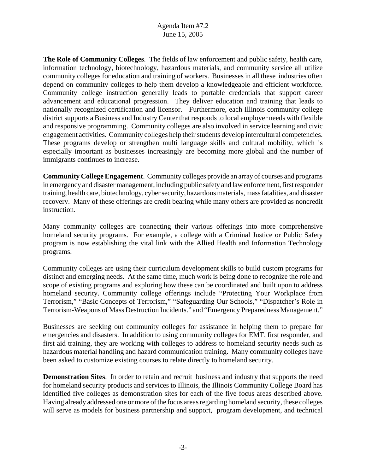## Agenda Item #7.2 June 15, 2005

**The Role of Community Colleges**. The fields of law enforcement and public safety, health care, information technology, biotechnology, hazardous materials, and community service all utilize community colleges for education and training of workers. Businesses in all these industries often depend on community colleges to help them develop a knowledgeable and efficient workforce. Community college instruction generally leads to portable credentials that support career advancement and educational progression. They deliver education and training that leads to nationally recognized certification and licensor. Furthermore, each Illinois community college district supports a Business and Industry Center that responds to local employer needs with flexible and responsive programming. Community colleges are also involved in service learning and civic engagement activities. Community colleges help their students develop intercultural competencies. These programs develop or strengthen multi language skills and cultural mobility, which is especially important as businesses increasingly are becoming more global and the number of immigrants continues to increase.

**Community College Engagement**. Community colleges provide an array of courses and programs in emergency and disaster management, including public safety and law enforcement, first responder training, health care, biotechnology, cyber security, hazardous materials, mass fatalities, and disaster recovery. Many of these offerings are credit bearing while many others are provided as noncredit instruction.

Many community colleges are connecting their various offerings into more comprehensive homeland security programs. For example, a college with a Criminal Justice or Public Safety program is now establishing the vital link with the Allied Health and Information Technology programs.

Community colleges are using their curriculum development skills to build custom programs for distinct and emerging needs. At the same time, much work is being done to recognize the role and scope of existing programs and exploring how these can be coordinated and built upon to address homeland security. Community college offerings include "Protecting Your Workplace from Terrorism," "Basic Concepts of Terrorism," "Safeguarding Our Schools," "Dispatcher's Role in Terrorism-Weapons of Mass Destruction Incidents." and "Emergency Preparedness Management."

Businesses are seeking out community colleges for assistance in helping them to prepare for emergencies and disasters. In addition to using community colleges for EMT, first responder, and first aid training, they are working with colleges to address to homeland security needs such as hazardous material handling and hazard communication training. Many community colleges have been asked to customize existing courses to relate directly to homeland security.

**Demonstration Sites**. In order to retain and recruit business and industry that supports the need for homeland security products and services to Illinois, the Illinois Community College Board has identified five colleges as demonstration sites for each of the five focus areas described above. Having already addressed one or more of the focus areas regarding homeland security, these colleges will serve as models for business partnership and support, program development, and technical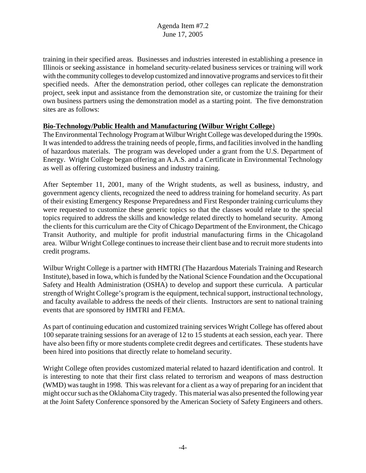training in their specified areas. Businesses and industries interested in establishing a presence in Illinois or seeking assistance in homeland security-related business services or training will work with the community colleges to develop customized and innovative programs and services to fit their specified needs. After the demonstration period, other colleges can replicate the demonstration project, seek input and assistance from the demonstration site, or customize the training for their own business partners using the demonstration model as a starting point. The five demonstration sites are as follows:

## **Bio-Technology/Public Health and Manufacturing (Wilbur Wright College**)

The Environmental Technology Program at Wilbur Wright College was developed during the 1990s. It was intended to address the training needs of people, firms, and facilities involved in the handling of hazardous materials. The program was developed under a grant from the U.S. Department of Energy. Wright College began offering an A.A.S. and a Certificate in Environmental Technology as well as offering customized business and industry training.

After September 11, 2001, many of the Wright students, as well as business, industry, and government agency clients, recognized the need to address training for homeland security. As part of their existing Emergency Response Preparedness and First Responder training curriculums they were requested to customize these generic topics so that the classes would relate to the special topics required to address the skills and knowledge related directly to homeland security. Among the clients for this curriculum are the City of Chicago Department of the Environment, the Chicago Transit Authority, and multiple for profit industrial manufacturing firms in the Chicagoland area. Wilbur Wright College continues to increase their client base and to recruit more students into credit programs.

Wilbur Wright College is a partner with HMTRI (The Hazardous Materials Training and Research Institute), based in Iowa, which is funded by the National Science Foundation and the Occupational Safety and Health Administration (OSHA) to develop and support these curricula. A particular strength of Wright College's program is the equipment, technical support, instructional technology, and faculty available to address the needs of their clients. Instructors are sent to national training events that are sponsored by HMTRI and FEMA.

As part of continuing education and customized training services Wright College has offered about 100 separate training sessions for an average of 12 to 15 students at each session, each year. There have also been fifty or more students complete credit degrees and certificates. These students have been hired into positions that directly relate to homeland security.

Wright College often provides customized material related to hazard identification and control. It is interesting to note that their first class related to terrorism and weapons of mass destruction (WMD) was taught in 1998. This was relevant for a client as a way of preparing for an incident that might occur such as the Oklahoma City tragedy. This material was also presented the following year at the Joint Safety Conference sponsored by the American Society of Safety Engineers and others.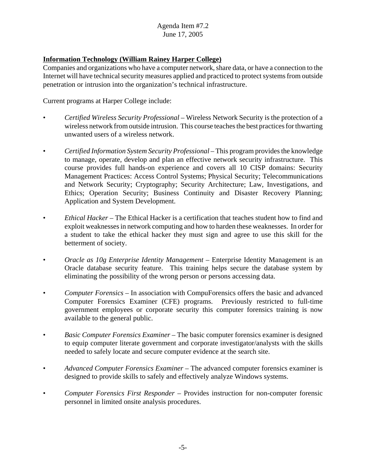## Agenda Item #7.2 June 17, 2005

## **Information Technology (William Rainey Harper College)**

Companies and organizations who have a computer network, share data, or have a connection to the Internet will have technical security measures applied and practiced to protect systems from outside penetration or intrusion into the organization's technical infrastructure.

Current programs at Harper College include:

- *Certified Wireless Security Professional* Wireless Network Security is the protection of a wireless network from outside intrusion. This course teaches the best practices for thwarting unwanted users of a wireless network.
- *Certified Information System Security Professional* This program provides the knowledge to manage, operate, develop and plan an effective network security infrastructure. This course provides full hands-on experience and covers all 10 CISP domains: Security Management Practices: Access Control Systems; Physical Security; Telecommunications and Network Security; Cryptography; Security Architecture; Law, Investigations, and Ethics; Operation Security; Business Continuity and Disaster Recovery Planning; Application and System Development.
- *Ethical Hacker*  The Ethical Hacker is a certification that teaches student how to find and exploit weaknesses in network computing and how to harden these weaknesses. In order for a student to take the ethical hacker they must sign and agree to use this skill for the betterment of society.
- *Oracle as 10g Enterprise Identity Management* Enterprise Identity Management is an Oracle database security feature. This training helps secure the database system by eliminating the possibility of the wrong person or persons accessing data.
- *Computer Forensics* In association with CompuForensics offers the basic and advanced Computer Forensics Examiner (CFE) programs. Previously restricted to full-time government employees or corporate security this computer forensics training is now available to the general public.
- *Basic Computer Forensics Examiner*  The basic computer forensics examiner is designed to equip computer literate government and corporate investigator/analysts with the skills needed to safely locate and secure computer evidence at the search site.
- *Advanced Computer Forensics Examiner* The advanced computer forensics examiner is designed to provide skills to safely and effectively analyze Windows systems.
- *Computer Forensics First Responder* Provides instruction for non-computer forensic personnel in limited onsite analysis procedures.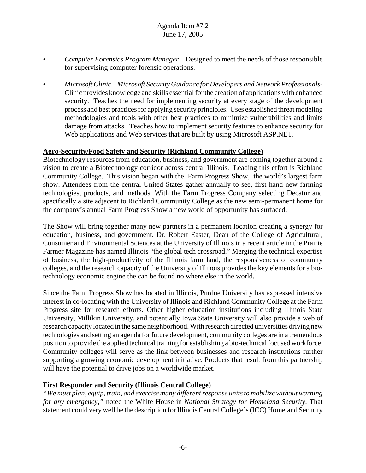## Agenda Item #7.2 June 17, 2005

- *Computer Forensics Program Manager* Designed to meet the needs of those responsible for supervising computer forensic operations.
- *Microsoft Clinic Microsoft Security Guidance for Developers and Network Professionals-*Clinic provides knowledge and skills essential for the creation of applications with enhanced security. Teaches the need for implementing security at every stage of the development process and best practices for applying security principles. Uses established threat modeling methodologies and tools with other best practices to minimize vulnerabilities and limits damage from attacks. Teaches how to implement security features to enhance security for Web applications and Web services that are built by using Microsoft ASP.NET.

## **Agro-Security/Food Safety and Security (Richland Community College)**

Biotechnology resources from education, business, and government are coming together around a vision to create a Biotechnology corridor across central Illinois. Leading this effort is Richland Community College. This vision began with the Farm Progress Show, the world's largest farm show. Attendees from the central United States gather annually to see, first hand new farming technologies, products, and methods. With the Farm Progress Company selecting Decatur and specifically a site adjacent to Richland Community College as the new semi-permanent home for the company's annual Farm Progress Show a new world of opportunity has surfaced.

The Show will bring together many new partners in a permanent location creating a synergy for education, business, and government. Dr. Robert Easter, Dean of the College of Agricultural, Consumer and Environmental Sciences at the University of Illinois in a recent article in the Prairie Farmer Magazine has named Illinois "the global tech crossroad." Merging the technical expertise of business, the high-productivity of the Illinois farm land, the responsiveness of community colleges, and the research capacity of the University of Illinois provides the key elements for a biotechnology economic engine the can be found no where else in the world.

Since the Farm Progress Show has located in Illinois, Purdue University has expressed intensive interest in co-locating with the University of Illinois and Richland Community College at the Farm Progress site for research efforts. Other higher education institutions including Illinois State University, Millikin University, and potentially Iowa State University will also provide a web of research capacity located in the same neighborhood. With research directed universities driving new technologies and setting an agenda for future development, community colleges are in a tremendous position to provide the applied technical training for establishing a bio-technical focused workforce. Community colleges will serve as the link between businesses and research institutions further supporting a growing economic development initiative. Products that result from this partnership will have the potential to drive jobs on a worldwide market.

## **First Responder and Security (Illinois Central College)**

*"We must plan, equip, train, and exercise many different response units to mobilize without warning for any emergency,"* noted the White House in *National Strategy for Homeland Security.* That statement could very well be the description for Illinois Central College's (ICC) Homeland Security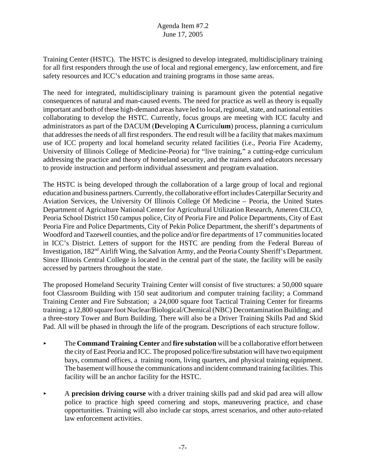Training Center (HSTC). The HSTC is designed to develop integrated, multidisciplinary training for all first responders through the use of local and regional emergency, law enforcement, and fire safety resources and ICC's education and training programs in those same areas.

The need for integrated, multidisciplinary training is paramount given the potential negative consequences of natural and man-caused events. The need for practice as well as theory is equally important and both of these high-demand areas have led to local, regional, state, and national entities collaborating to develop the HSTC. Currently, focus groups are meeting with ICC faculty and administrators as part of the DACUM (**D**eveloping **A C**urricul**um**) process, planning a curriculum that addresses the needs of all first responders. The end result will be a facility that makes maximum use of ICC property and local homeland security related facilities (i.e., Peoria Fire Academy, University of Illinois College of Medicine-Peoria) for "live training," a cutting-edge curriculum addressing the practice and theory of homeland security, and the trainers and educators necessary to provide instruction and perform individual assessment and program evaluation.

The HSTC is being developed through the collaboration of a large group of local and regional education and business partners. Currently, the collaborative effort includes Caterpillar Security and Aviation Services, the University Of Illinois College Of Medicine – Peoria, the United States Department of Agriculture National Center for Agricultural Utilization Research, Ameren CILCO, Peoria School District 150 campus police, City of Peoria Fire and Police Departments, City of East Peoria Fire and Police Departments, City of Pekin Police Department, the sheriff's departments of Woodford and Tazewell counties, and the police and/or fire departments of 17 communities located in ICC's District. Letters of support for the HSTC are pending from the Federal Bureau of Investigation, 182<sup>nd</sup> Airlift Wing, the Salvation Army, and the Peoria County Sheriff's Department. Since Illinois Central College is located in the central part of the state, the facility will be easily accessed by partners throughout the state.

The proposed Homeland Security Training Center will consist of five structures: a 50,000 square foot Classroom Building with 150 seat auditorium and computer training facility; a Command Training Center and Fire Substation; a 24,000 square foot Tactical Training Center for firearms training; a 12,800 square foot Nuclear/Biological/Chemical (NBC) Decontamination Building; and a three-story Tower and Burn Building. There will also be a Driver Training Skills Pad and Skid Pad. All will be phased in through the life of the program. Descriptions of each structure follow.

- < The **Command Training Center** and **fire substation** will be a collaborative effort between the city of East Peoria and ICC. The proposed police/fire substation will have two equipment bays, command offices, a training room, living quarters, and physical training equipment. The basement will house the communications and incident command training facilities. This facility will be an anchor facility for the HSTC.
- < A **precision driving course** with a driver training skills pad and skid pad area will allow police to practice high speed cornering and stops, maneuvering practice, and chase opportunities. Training will also include car stops, arrest scenarios, and other auto-related law enforcement activities.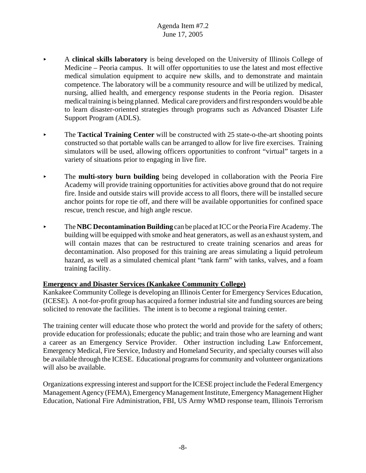## Agenda Item #7.2 June 17, 2005

- < A **clinical skills laboratory** is being developed on the University of Illinois College of Medicine – Peoria campus. It will offer opportunities to use the latest and most effective medical simulation equipment to acquire new skills, and to demonstrate and maintain competence. The laboratory will be a community resource and will be utilized by medical, nursing, allied health, and emergency response students in the Peoria region. Disaster medical training is being planned. Medical care providers and first responders would be able to learn disaster-oriented strategies through programs such as Advanced Disaster Life Support Program (ADLS).
- ▶ The **Tactical Training Center** will be constructed with 25 state-o-the-art shooting points constructed so that portable walls can be arranged to allow for live fire exercises. Training simulators will be used, allowing officers opportunities to confront "virtual" targets in a variety of situations prior to engaging in live fire.
- **Example 1** The **multi-story burn building** being developed in collaboration with the Peoria Fire Academy will provide training opportunities for activities above ground that do not require fire. Inside and outside stairs will provide access to all floors, there will be installed secure anchor points for rope tie off, and there will be available opportunities for confined space rescue, trench rescue, and high angle rescue.
- **EXEC Decontamination Building** can be placed at ICC or the Peoria Fire Academy. The building will be equipped with smoke and heat generators, as well as an exhaust system, and will contain mazes that can be restructured to create training scenarios and areas for decontamination. Also proposed for this training are areas simulating a liquid petroleum hazard, as well as a simulated chemical plant "tank farm" with tanks, valves, and a foam training facility.

## **Emergency and Disaster Services (Kankakee Community College)**

Kankakee Community College is developing an Illinois Center for Emergency Services Education, (ICESE). A not-for-profit group has acquired a former industrial site and funding sources are being solicited to renovate the facilities. The intent is to become a regional training center.

The training center will educate those who protect the world and provide for the safety of others; provide education for professionals; educate the public; and train those who are learning and want a career as an Emergency Service Provider. Other instruction including Law Enforcement, Emergency Medical, Fire Service, Industry and Homeland Security, and specialty courses will also be available through the ICESE. Educational programs for community and volunteer organizations will also be available.

Organizations expressing interest and support for the ICESE project include the Federal Emergency Management Agency (FEMA), Emergency Management Institute, Emergency Management Higher Education, National Fire Administration, FBI, US Army WMD response team, Illinois Terrorism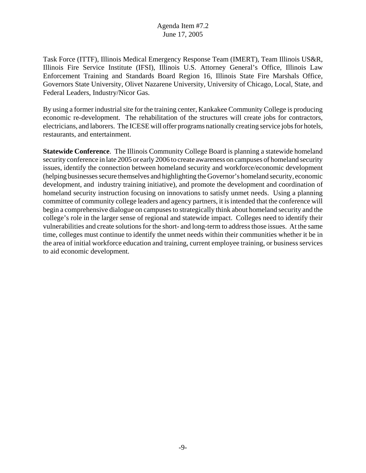Task Force (ITTF), Illinois Medical Emergency Response Team (IMERT), Team Illinois US&R, Illinois Fire Service Institute (IFSI), Illinois U.S. Attorney General's Office, Illinois Law Enforcement Training and Standards Board Region 16, Illinois State Fire Marshals Office, Governors State University, Olivet Nazarene University, University of Chicago, Local, State, and Federal Leaders, Industry/Nicor Gas.

By using a former industrial site for the training center, Kankakee Community College is producing economic re-development. The rehabilitation of the structures will create jobs for contractors, electricians, and laborers. The ICESE will offer programs nationally creating service jobs for hotels, restaurants, and entertainment.

**Statewide Conference**. The Illinois Community College Board is planning a statewide homeland security conference in late 2005 or early 2006 to create awareness on campuses of homeland security issues, identify the connection between homeland security and workforce/economic development (helping businesses secure themselves and highlighting the Governor's homeland security, economic development, and industry training initiative), and promote the development and coordination of homeland security instruction focusing on innovations to satisfy unmet needs. Using a planning committee of community college leaders and agency partners, it is intended that the conference will begin a comprehensive dialogue on campuses to strategically think about homeland security and the college's role in the larger sense of regional and statewide impact. Colleges need to identify their vulnerabilities and create solutions for the short- and long-term to address those issues. At the same time, colleges must continue to identify the unmet needs within their communities whether it be in the area of initial workforce education and training, current employee training, or business services to aid economic development.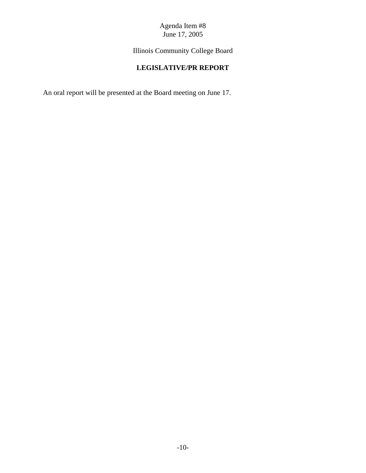# Agenda Item #8 June 17, 2005

Illinois Community College Board

# **LEGISLATIVE/PR REPORT**

An oral report will be presented at the Board meeting on June 17.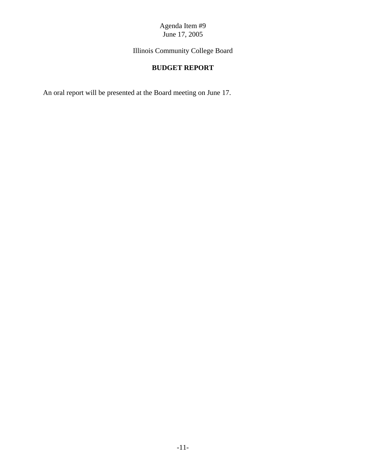Agenda Item #9 June 17, 2005

Illinois Community College Board

# **BUDGET REPORT**

An oral report will be presented at the Board meeting on June 17.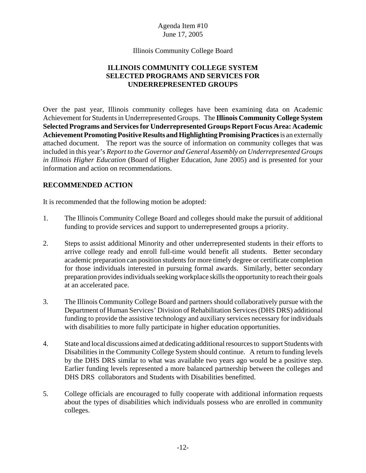Illinois Community College Board

## **ILLINOIS COMMUNITY COLLEGE SYSTEM SELECTED PROGRAMS AND SERVICES FOR UNDERREPRESENTED GROUPS**

Over the past year, Illinois community colleges have been examining data on Academic Achievement for Students in Underrepresented Groups. The **Illinois Community College System Selected Programs and Services for Underrepresented Groups Report Focus Area: Academic Achievement Promoting Positive Results and Highlighting Promising Practices** is an externally attached document. The report was the source of information on community colleges that was included in this year's *Report to the Governor and General Assembly on Underrepresented Groups in Illinois Higher Education* (Board of Higher Education, June 2005) and is presented for your information and action on recommendations.

## **RECOMMENDED ACTION**

It is recommended that the following motion be adopted:

- 1. The Illinois Community College Board and colleges should make the pursuit of additional funding to provide services and support to underrepresented groups a priority.
- 2. Steps to assist additional Minority and other underrepresented students in their efforts to arrive college ready and enroll full-time would benefit all students. Better secondary academic preparation can position students for more timely degree or certificate completion for those individuals interested in pursuing formal awards. Similarly, better secondary preparation provides individuals seeking workplace skills the opportunity to reach their goals at an accelerated pace.
- 3. The Illinois Community College Board and partners should collaboratively pursue with the Department of Human Services' Division of Rehabilitation Services (DHS DRS) additional funding to provide the assistive technology and auxiliary services necessary for individuals with disabilities to more fully participate in higher education opportunities.
- 4. State and local discussions aimed at dedicating additional resources to support Students with Disabilities in the Community College System should continue. A return to funding levels by the DHS DRS similar to what was available two years ago would be a positive step. Earlier funding levels represented a more balanced partnership between the colleges and DHS DRS collaborators and Students with Disabilities benefitted.
- 5. College officials are encouraged to fully cooperate with additional information requests about the types of disabilities which individuals possess who are enrolled in community colleges.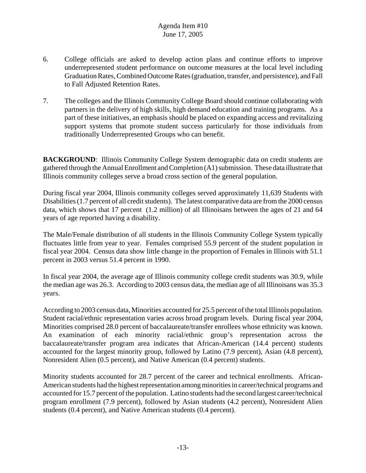- 6. College officials are asked to develop action plans and continue efforts to improve underrepresented student performance on outcome measures at the local level including Graduation Rates, Combined Outcome Rates (graduation, transfer, and persistence), and Fall to Fall Adjusted Retention Rates.
- 7. The colleges and the Illinois Community College Board should continue collaborating with partners in the delivery of high skills, high demand education and training programs. As a part of these initiatives, an emphasis should be placed on expanding access and revitalizing support systems that promote student success particularly for those individuals from traditionally Underrepresented Groups who can benefit.

**BACKGROUND:** Illinois Community College System demographic data on credit students are gathered through the Annual Enrollment and Completion (A1) submission. These data illustrate that Illinois community colleges serve a broad cross section of the general population.

During fiscal year 2004, Illinois community colleges served approximately 11,639 Students with Disabilities (1.7 percent of all credit students). The latest comparative data are from the 2000 census data, which shows that 17 percent (1.2 million) of all Illinoisans between the ages of 21 and 64 years of age reported having a disability.

The Male/Female distribution of all students in the Illinois Community College System typically fluctuates little from year to year. Females comprised 55.9 percent of the student population in fiscal year 2004. Census data show little change in the proportion of Females in Illinois with 51.1 percent in 2003 versus 51.4 percent in 1990.

In fiscal year 2004, the average age of Illinois community college credit students was 30.9, while the median age was 26.3. According to 2003 census data, the median age of all Illinoisans was 35.3 years.

According to 2003 census data, Minorities accounted for 25.5 percent of the total Illinois population. Student racial/ethnic representation varies across broad program levels. During fiscal year 2004, Minorities comprised 28.0 percent of baccalaureate/transfer enrollees whose ethnicity was known. An examination of each minority racial/ethnic group's representation across the baccalaureate/transfer program area indicates that African-American (14.4 percent) students accounted for the largest minority group, followed by Latino (7.9 percent), Asian (4.8 percent), Nonresident Alien (0.5 percent), and Native American (0.4 percent) students.

Minority students accounted for 28.7 percent of the career and technical enrollments. African-American students had the highest representation among minorities in career/technical programs and accounted for 15.7 percent of the population. Latino students had the second largest career/technical program enrollment (7.9 percent), followed by Asian students (4.2 percent), Nonresident Alien students (0.4 percent), and Native American students (0.4 percent).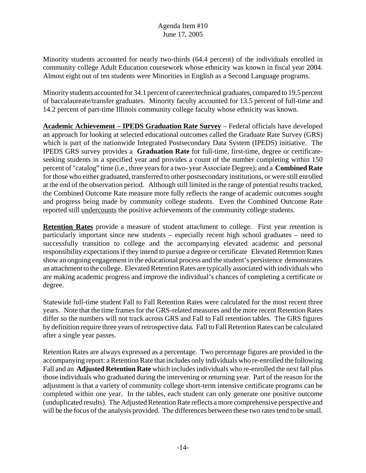Minority students accounted for nearly two-thirds (64.4 percent) of the individuals enrolled in community college Adult Education coursework whose ethnicity was known in fiscal year 2004. Almost eight out of ten students were Minorities in English as a Second Language programs.

Minority students accounted for 34.1 percent of career/technical graduates, compared to 19.5 percent of baccalaureate/transfer graduates. Minority faculty accounted for 13.5 percent of full-time and 14.2 percent of part-time Illinois community college faculty whose ethnicity was known.

**Academic Achievement – IPEDS Graduation Rate Survey** – Federal officials have developed an approach for looking at selected educational outcomes called the Graduate Rate Survey (GRS) which is part of the nationwide Integrated Postsecondary Data System (IPEDS) initiative. The IPEDS GRS survey provides a **Graduation Rate** for full-time, first-time, degree or certificateseeking students in a specified year and provides a count of the number completing within 150 percent of "catalog" time (i.e., three years for a two- year Associate Degree); and a **Combined Rate** for those who either graduated, transferred to other postsecondary institutions, or were still enrolled at the end of the observation period. Although still limited in the range of potential results tracked, the Combined Outcome Rate measure more fully reflects the range of academic outcomes sought and progress being made by community college students. Even the Combined Outcome Rate reported still undercounts the positive achievements of the community college students.

**Retention Rates** provide a measure of student attachment to college. First year retention is particularly important since new students – especially recent high school graduates – need to successfully transition to college and the accompanying elevated academic and personal responsibility expectations if they intend to pursue a degree or certificate Elevated Retention Rates show an ongoing engagement in the educational process and the student's persistence demonstrates an attachment to the college. Elevated Retention Rates are typically associated with individuals who are making academic progress and improve the individual's chances of completing a certificate or degree.

Statewide full-time student Fall to Fall Retention Rates were calculated for the most recent three years. Note that the time frames for the GRS-related measures and the more recent Retention Rates differ so the numbers will not track across GRS and Fall to Fall retention tables. The GRS figures by definition require three years of retrospective data. Fall to Fall Retention Rates can be calculated after a single year passes.

Retention Rates are always expressed as a percentage. Two percentage figures are provided in the accompanying report: a Retention Rate that includes only individuals who re-enrolled the following Fall and an **Adjusted Retention Rate** which includes individuals who re-enrolled the next fall plus those individuals who graduated during the intervening or returning year. Part of the reason for the adjustment is that a variety of community college short-term intensive certificate programs can be completed within one year. In the tables, each student can only generate one positive outcome (unduplicated results). The Adjusted Retention Rate reflects a more comprehensive perspective and will be the focus of the analysis provided. The differences between these two rates tend to be small.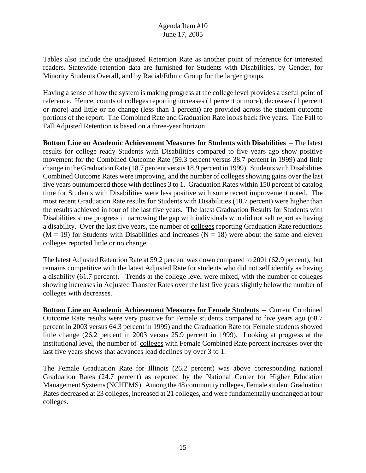Tables also include the unadjusted Retention Rate as another point of reference for interested readers. Statewide retention data are furnished for Students with Disabilities, by Gender, for Minority Students Overall, and by Racial/Ethnic Group for the larger groups.

Having a sense of how the system is making progress at the college level provides a useful point of reference. Hence, counts of colleges reporting increases (1 percent or more), decreases (1 percent or more) and little or no change (less than 1 percent) are provided across the student outcome portions of the report. The Combined Rate and Graduation Rate looks back five years. The Fall to Fall Adjusted Retention is based on a three-year horizon.

**Bottom Line on Academic Achievement Measures for Students with Disabilities** – The latest results for college ready Students with Disabilities compared to five years ago show positive movement for the Combined Outcome Rate (59.3 percent versus 38.7 percent in 1999) and little change in the Graduation Rate (18.7 percent versus 18.9 percent in 1999). Students with Disabilities Combined Outcome Rates were improving, and the number of colleges showing gains over the last five years outnumbered those with declines 3 to 1. Graduation Rates within 150 percent of catalog time for Students with Disabilities were less positive with some recent improvement noted. The most recent Graduation Rate results for Students with Disabilities (18.7 percent) were higher than the results achieved in four of the last five years. The latest Graduation Results for Students with Disabilities show progress in narrowing the gap with individuals who did not self report as having a disability. Over the last five years, the number of colleges reporting Graduation Rate reductions  $(M = 19)$  for Students with Disabilities and increases  $(N = 18)$  were about the same and eleven colleges reported little or no change.

The latest Adjusted Retention Rate at 59.2 percent was down compared to 2001 (62.9 percent), but remains competitive with the latest Adjusted Rate for students who did not self identify as having a disability (61.7 percent). Trends at the college level were mixed, with the number of colleges showing increases in Adjusted Transfer Rates over the last five years slightly below the number of colleges with decreases.

**Bottom Line on Academic Achievement Measures for Female Students** – Current Combined Outcome Rate results were very positive for Female students compared to five years ago (68.7 percent in 2003 versus 64.3 percent in 1999) and the Graduation Rate for Female students showed little change (26.2 percent in 2003 versus 25.9 percent in 1999). Looking at progress at the institutional level, the number of colleges with Female Combined Rate percent increases over the last five years shows that advances lead declines by over 3 to 1.

The Female Graduation Rate for Illinois (26.2 percent) was above corresponding national Graduation Rates (24.7 percent) as reported by the National Center for Higher Education Management Systems (NCHEMS). Among the 48 community colleges, Female student Graduation Rates decreased at 23 colleges, increased at 21 colleges, and were fundamentally unchanged at four colleges.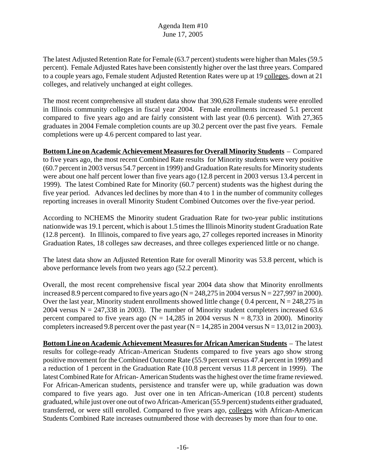The latest Adjusted Retention Rate for Female (63.7 percent) students were higher than Males (59.5 percent). Female Adjusted Rates have been consistently higher over the last three years. Compared to a couple years ago, Female student Adjusted Retention Rates were up at 19 colleges, down at 21 colleges, and relatively unchanged at eight colleges.

The most recent comprehensive all student data show that 390,628 Female students were enrolled in Illinois community colleges in fiscal year 2004. Female enrollments increased 5.1 percent compared to five years ago and are fairly consistent with last year (0.6 percent). With 27,365 graduates in 2004 Female completion counts are up 30.2 percent over the past five years. Female completions were up 4.6 percent compared to last year.

**Bottom Line on Academic Achievement Measures for Overall Minority Students** – Compared to five years ago, the most recent Combined Rate results for Minority students were very positive (60.7 percent in 2003 versus 54.7 percent in 1999) and Graduation Rate results for Minority students were about one half percent lower than five years ago (12.8 percent in 2003 versus 13.4 percent in 1999). The latest Combined Rate for Minority (60.7 percent) students was the highest during the five year period. Advances led declines by more than 4 to 1 in the number of community colleges reporting increases in overall Minority Student Combined Outcomes over the five-year period.

According to NCHEMS the Minority student Graduation Rate for two-year public institutions nationwide was 19.1 percent, which is about 1.5 times the Illinois Minority student Graduation Rate (12.8 percent). In Illinois, compared to five years ago, 27 colleges reported increases in Minority Graduation Rates, 18 colleges saw decreases, and three colleges experienced little or no change.

The latest data show an Adjusted Retention Rate for overall Minority was 53.8 percent, which is above performance levels from two years ago (52.2 percent).

Overall, the most recent comprehensive fiscal year 2004 data show that Minority enrollments increased 8.9 percent compared to five years ago ( $N = 248,275$  in 2004 versus  $N = 227,997$  in 2000). Over the last year, Minority student enrollments showed little change ( $0.4$  percent,  $N = 248,275$  in 2004 versus  $N = 247,338$  in 2003). The number of Minority student completers increased 63.6 percent compared to five years ago ( $N = 14,285$  in 2004 versus  $N = 8,733$  in 2000). Minority completers increased 9.8 percent over the past year ( $N = 14,285$  in 2004 versus  $N = 13,012$  in 2003).

**Bottom Line on Academic Achievement Measures for African American Students** – The latest results for college-ready African-American Students compared to five years ago show strong positive movement for the Combined Outcome Rate (55.9 percent versus 47.4 percent in 1999) and a reduction of 1 percent in the Graduation Rate (10.8 percent versus 11.8 percent in 1999). The latest Combined Rate for African- American Students was the highest over the time frame reviewed. For African-American students, persistence and transfer were up, while graduation was down compared to five years ago. Just over one in ten African-American (10.8 percent) students graduated, while just over one out of two African-American (55.9 percent) students either graduated, transferred, or were still enrolled. Compared to five years ago, colleges with African-American Students Combined Rate increases outnumbered those with decreases by more than four to one.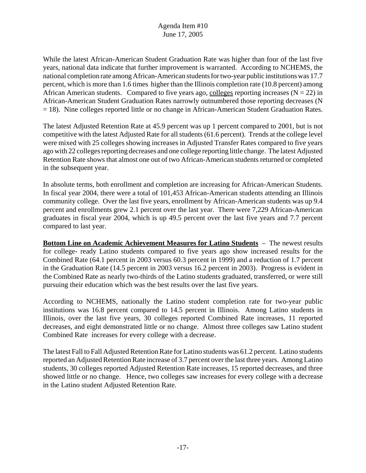While the latest African-American Student Graduation Rate was higher than four of the last five years, national data indicate that further improvement is warranted. According to NCHEMS, the national completion rate among African-American students for two-year public institutions was 17.7 percent, which is more than 1.6 times higher than the Illinois completion rate (10.8 percent) among African American students. Compared to five years ago, colleges reporting increases ( $N = 22$ ) in African-American Student Graduation Rates narrowly outnumbered those reporting decreases (N = 18). Nine colleges reported little or no change in African-American Student Graduation Rates.

The latest Adjusted Retention Rate at 45.9 percent was up 1 percent compared to 2001, but is not competitive with the latest Adjusted Rate for all students (61.6 percent). Trends at the college level were mixed with 25 colleges showing increases in Adjusted Transfer Rates compared to five years ago with 22 colleges reporting decreases and one college reporting little change. The latest Adjusted Retention Rate shows that almost one out of two African-American students returned or completed in the subsequent year.

In absolute terms, both enrollment and completion are increasing for African-American Students. In fiscal year 2004, there were a total of 101,453 African-American students attending an Illinois community college. Over the last five years, enrollment by African-American students was up 9.4 percent and enrollments grew 2.1 percent over the last year. There were 7,229 African-American graduates in fiscal year 2004, which is up 49.5 percent over the last five years and 7.7 percent compared to last year.

**Bottom Line on Academic Achievement Measures for Latino Students** – The newest results for college- ready Latino students compared to five years ago show increased results for the Combined Rate (64.1 percent in 2003 versus 60.3 percent in 1999) and a reduction of 1.7 percent in the Graduation Rate (14.5 percent in 2003 versus 16.2 percent in 2003). Progress is evident in the Combined Rate as nearly two-thirds of the Latino students graduated, transferred, or were still pursuing their education which was the best results over the last five years.

According to NCHEMS, nationally the Latino student completion rate for two-year public institutions was 16.8 percent compared to 14.5 percent in Illinois. Among Latino students in Illinois, over the last five years, 30 colleges reported Combined Rate increases, 11 reported decreases, and eight demonstrated little or no change. Almost three colleges saw Latino student Combined Rate increases for every college with a decrease.

The latest Fall to Fall Adjusted Retention Rate for Latino students was 61.2 percent. Latino students reported an Adjusted Retention Rate increase of 3.7 percent over the last three years. Among Latino students, 30 colleges reported Adjusted Retention Rate increases, 15 reported decreases, and three showed little or no change. Hence, two colleges saw increases for every college with a decrease in the Latino student Adjusted Retention Rate.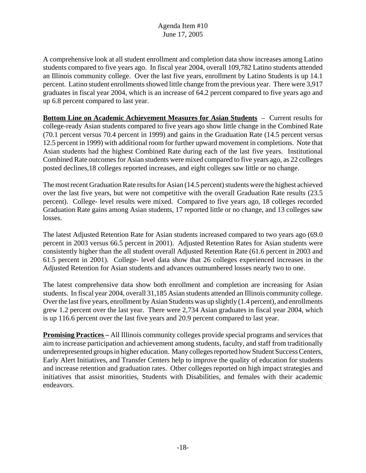A comprehensive look at all student enrollment and completion data show increases among Latino students compared to five years ago. In fiscal year 2004, overall 109,782 Latino students attended an Illinois community college. Over the last five years, enrollment by Latino Students is up 14.1 percent. Latino student enrollments showed little change from the previous year. There were 3,917 graduates in fiscal year 2004, which is an increase of 64.2 percent compared to five years ago and up 6.8 percent compared to last year.

**Bottom Line on Academic Achievement Measures for Asian Students** – Current results for college-ready Asian students compared to five years ago show little change in the Combined Rate (70.1 percent versus 70.4 percent in 1999) and gains in the Graduation Rate (14.5 percent versus 12.5 percent in 1999) with additional room for further upward movement in completions. Note that Asian students had the highest Combined Rate during each of the last five years. Institutional Combined Rate outcomes for Asian students were mixed compared to five years ago, as 22 colleges posted declines,18 colleges reported increases, and eight colleges saw little or no change.

The most recent Graduation Rate results for Asian (14.5 percent) students were the highest achieved over the last five years, but were not competitive with the overall Graduation Rate results (23.5 percent). College- level results were mixed. Compared to five years ago, 18 colleges recorded Graduation Rate gains among Asian students, 17 reported little or no change, and 13 colleges saw losses.

The latest Adjusted Retention Rate for Asian students increased compared to two years ago (69.0 percent in 2003 versus 66.5 percent in 2001). Adjusted Retention Rates for Asian students were consistently higher than the all student overall Adjusted Retention Rate (61.6 percent in 2003 and 61.5 percent in 2001). College- level data show that 26 colleges experienced increases in the Adjusted Retention for Asian students and advances outnumbered losses nearly two to one.

The latest comprehensive data show both enrollment and completion are increasing for Asian students. In fiscal year 2004, overall 31,185 Asian students attended an Illinois community college. Over the last five years, enrollment by Asian Students was up slightly (1.4 percent), and enrollments grew 1.2 percent over the last year. There were 2,734 Asian graduates in fiscal year 2004, which is up 116.6 percent over the last five years and 20.9 percent compared to last year.

**Promising Practices –** All Illinois community colleges provide special programs and services that aim to increase participation and achievement among students, faculty, and staff from traditionally underrepresented groups in higher education. Many colleges reported how Student Success Centers, Early Alert Initiatives, and Transfer Centers help to improve the quality of education for students and increase retention and graduation rates. Other colleges reported on high impact strategies and initiatives that assist minorities, Students with Disabilities, and females with their academic endeavors.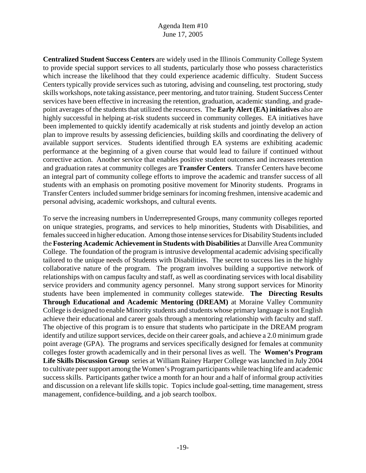**Centralized Student Success Centers** are widely used in the Illinois Community College System to provide special support services to all students, particularly those who possess characteristics which increase the likelihood that they could experience academic difficulty. Student Success Centers typically provide services such as tutoring, advising and counseling, test proctoring, study skills workshops, note taking assistance, peer mentoring, and tutor training. Student Success Center services have been effective in increasing the retention, graduation, academic standing, and gradepoint averages of the students that utilized the resources. The **Early Alert (EA) initiatives** also are highly successful in helping at-risk students succeed in community colleges. EA initiatives have been implemented to quickly identify academically at risk students and jointly develop an action plan to improve results by assessing deficiencies, building skills and coordinating the delivery of available support services. Students identified through EA systems are exhibiting academic performance at the beginning of a given course that would lead to failure if continued without corrective action. Another service that enables positive student outcomes and increases retention and graduation rates at community colleges are **Transfer Centers**. Transfer Centers have become an integral part of community college efforts to improve the academic and transfer success of all students with an emphasis on promoting positive movement for Minority students. Programs in Transfer Centers included summer bridge seminars for incoming freshmen, intensive academic and personal advising, academic workshops, and cultural events.

To serve the increasing numbers in Underrepresented Groups, many community colleges reported on unique strategies, programs, and services to help minorities, Students with Disabilities, and females succeed in higher education. Among those intense services for Disability Students included the **Fostering Academic Achievement in Students with Disabilities** at Danville Area Community College. The foundation of the program is intrusive developmental academic advising specifically tailored to the unique needs of Students with Disabilities. The secret to success lies in the highly collaborative nature of the program. The program involves building a supportive network of relationships with on campus faculty and staff, as well as coordinating services with local disability service providers and community agency personnel. Many strong support services for Minority students have been implemented in community colleges statewide. **The Directing Results Through Educational and Academic Mentoring (DREAM)** at Moraine Valley Community College is designed to enable Minority students and students whose primary language is not English achieve their educational and career goals through a mentoring relationship with faculty and staff. The objective of this program is to ensure that students who participate in the DREAM program identify and utilize support services, decide on their career goals, and achieve a 2.0 minimum grade point average (GPA). The programs and services specifically designed for females at community colleges foster growth academically and in their personal lives as well. The **Women's Program Life Skills Discussion Group** series at William Rainey Harper College was launched in July 2004 to cultivate peer support among the Women's Program participants while teaching life and academic success skills. Participants gather twice a month for an hour and a half of informal group activities and discussion on a relevant life skills topic. Topics include goal-setting, time management, stress management, confidence-building, and a job search toolbox.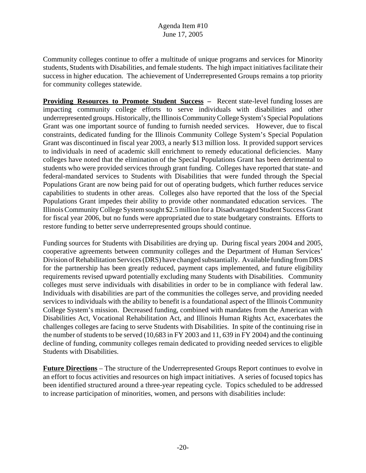Community colleges continue to offer a multitude of unique programs and services for Minority students, Students with Disabilities, and female students. The high impact initiatives facilitate their success in higher education. The achievement of Underrepresented Groups remains a top priority for community colleges statewide.

**Providing Resources to Promote Student Success – Recent state-level funding losses are** impacting community college efforts to serve individuals with disabilities and other underrepresented groups. Historically, the Illinois Community College System's Special Populations Grant was one important source of funding to furnish needed services. However, due to fiscal constraints, dedicated funding for the Illinois Community College System's Special Population Grant was discontinued in fiscal year 2003, a nearly \$13 million loss. It provided support services to individuals in need of academic skill enrichment to remedy educational deficiencies. Many colleges have noted that the elimination of the Special Populations Grant has been detrimental to students who were provided services through grant funding. Colleges have reported that state- and federal-mandated services to Students with Disabilities that were funded through the Special Populations Grant are now being paid for out of operating budgets, which further reduces service capabilities to students in other areas. Colleges also have reported that the loss of the Special Populations Grant impedes their ability to provide other nonmandated education services. The Illinois Community College System sought \$2.5 million for a Disadvantaged Student Success Grant for fiscal year 2006, but no funds were appropriated due to state budgetary constraints. Efforts to restore funding to better serve underrepresented groups should continue.

Funding sources for Students with Disabilities are drying up. During fiscal years 2004 and 2005, cooperative agreements between community colleges and the Department of Human Services' Division of Rehabilitation Services (DRS) have changed substantially. Available funding from DRS for the partnership has been greatly reduced, payment caps implemented, and future eligibility requirements revised upward potentially excluding many Students with Disabilities. Community colleges must serve individuals with disabilities in order to be in compliance with federal law. Individuals with disabilities are part of the communities the colleges serve, and providing needed services to individuals with the ability to benefit is a foundational aspect of the Illinois Community College System's mission. Decreased funding, combined with mandates from the American with Disabilities Act, Vocational Rehabilitation Act, and Illinois Human Rights Act, exacerbates the challenges colleges are facing to serve Students with Disabilities. In spite of the continuing rise in the number of students to be served (10,683 in FY 2003 and 11, 639 in FY 2004) and the continuing decline of funding, community colleges remain dedicated to providing needed services to eligible Students with Disabilities.

**Future Directions** – The structure of the Underrepresented Groups Report continues to evolve in an effort to focus activities and resources on high impact initiatives. A series of focused topics has been identified structured around a three-year repeating cycle. Topics scheduled to be addressed to increase participation of minorities, women, and persons with disabilities include: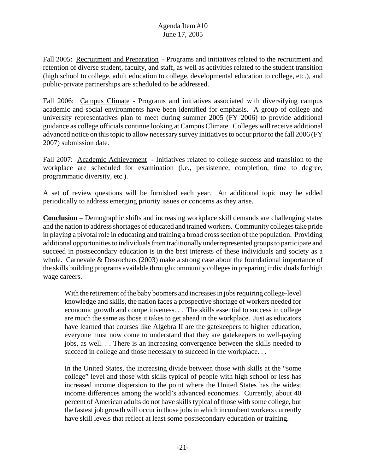Fall 2005: Recruitment and Preparation - Programs and initiatives related to the recruitment and retention of diverse student, faculty, and staff, as well as activities related to the student transition (high school to college, adult education to college, developmental education to college, etc.), and public-private partnerships are scheduled to be addressed.

Fall 2006: Campus Climate - Programs and initiatives associated with diversifying campus academic and social environments have been identified for emphasis. A group of college and university representatives plan to meet during summer 2005 (FY 2006) to provide additional guidance as college officials continue looking at Campus Climate. Colleges will receive additional advanced notice on this topic to allow necessary survey initiatives to occur prior to the fall 2006 (FY 2007) submission date.

Fall 2007: Academic Achievement - Initiatives related to college success and transition to the workplace are scheduled for examination (i.e., persistence, completion, time to degree, programmatic diversity, etc.).

A set of review questions will be furnished each year. An additional topic may be added periodically to address emerging priority issues or concerns as they arise.

**Conclusion** – Demographic shifts and increasing workplace skill demands are challenging states and the nation to address shortages of educated and trained workers. Community colleges take pride in playing a pivotal role in educating and training a broad cross section of the population. Providing additional opportunities to individuals from traditionally underrepresented groups to participate and succeed in postsecondary education is in the best interests of these individuals and society as a whole. Carnevale & Desrochers (2003) make a strong case about the foundational importance of the skills building programs available through community colleges in preparing individuals for high wage careers.

With the retirement of the baby boomers and increases in jobs requiring college-level knowledge and skills, the nation faces a prospective shortage of workers needed for economic growth and competitiveness. . . The skills essential to success in college are much the same as those it takes to get ahead in the workplace. Just as educators have learned that courses like Algebra II are the gatekeepers to higher education, everyone must now come to understand that they are gatekeepers to well-paying jobs, as well. . . There is an increasing convergence between the skills needed to succeed in college and those necessary to succeed in the workplace...

In the United States, the increasing divide between those with skills at the "some college" level and those with skills typical of people with high school or less has increased income dispersion to the point where the United States has the widest income differences among the world's advanced economies. Currently, about 40 percent of American adults do not have skills typical of those with some college, but the fastest job growth will occur in those jobs in which incumbent workers currently have skill levels that reflect at least some postsecondary education or training.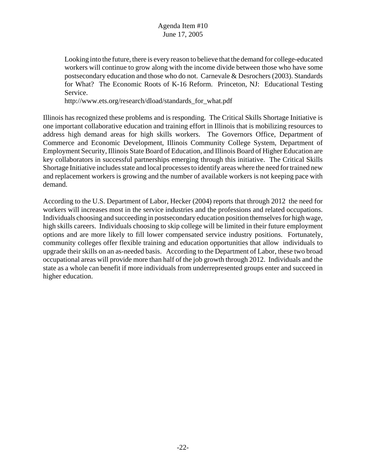Looking into the future, there is every reason to believe that the demand for college-educated workers will continue to grow along with the income divide between those who have some postsecondary education and those who do not. Carnevale & Desrochers (2003). Standards for What? The Economic Roots of K-16 Reform. Princeton, NJ: Educational Testing Service.

http://www.ets.org/research/dload/standards\_for\_what.pdf

Illinois has recognized these problems and is responding. The Critical Skills Shortage Initiative is one important collaborative education and training effort in Illinois that is mobilizing resources to address high demand areas for high skills workers. The Governors Office, Department of Commerce and Economic Development, Illinois Community College System, Department of Employment Security, Illinois State Board of Education, and Illinois Board of Higher Education are key collaborators in successful partnerships emerging through this initiative. The Critical Skills Shortage Initiative includes state and local processes to identify areas where the need for trained new and replacement workers is growing and the number of available workers is not keeping pace with demand.

According to the U.S. Department of Labor, Hecker (2004) reports that through 2012 the need for workers will increases most in the service industries and the professions and related occupations. Individuals choosing and succeeding in postsecondary education position themselves for high wage, high skills careers. Individuals choosing to skip college will be limited in their future employment options and are more likely to fill lower compensated service industry positions. Fortunately, community colleges offer flexible training and education opportunities that allow individuals to upgrade their skills on an as-needed basis. According to the Department of Labor, these two broad occupational areas will provide more than half of the job growth through 2012. Individuals and the state as a whole can benefit if more individuals from underrepresented groups enter and succeed in higher education.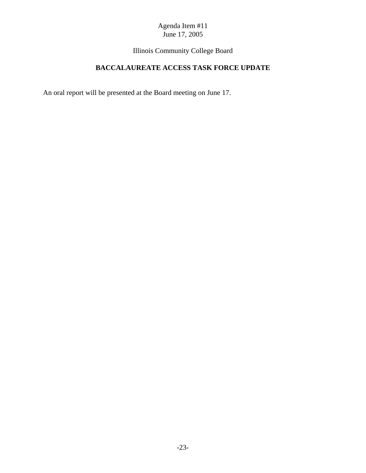Illinois Community College Board

# **BACCALAUREATE ACCESS TASK FORCE UPDATE**

An oral report will be presented at the Board meeting on June 17.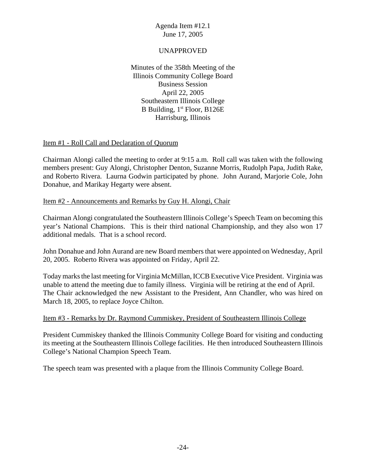## UNAPPROVED

Minutes of the 358th Meeting of the Illinois Community College Board Business Session April 22, 2005 Southeastern Illinois College B Building,  $1<sup>st</sup>$  Floor, B126E Harrisburg, Illinois

#### Item #1 - Roll Call and Declaration of Quorum

Chairman Alongi called the meeting to order at 9:15 a.m. Roll call was taken with the following members present: Guy Alongi, Christopher Denton, Suzanne Morris, Rudolph Papa, Judith Rake, and Roberto Rivera. Laurna Godwin participated by phone. John Aurand, Marjorie Cole, John Donahue, and Marikay Hegarty were absent.

#### Item #2 - Announcements and Remarks by Guy H. Alongi, Chair

Chairman Alongi congratulated the Southeastern Illinois College's Speech Team on becoming this year's National Champions. This is their third national Championship, and they also won 17 additional medals. That is a school record.

John Donahue and John Aurand are new Board members that were appointed on Wednesday, April 20, 2005. Roberto Rivera was appointed on Friday, April 22.

Today marks the last meeting for Virginia McMillan, ICCB Executive Vice President. Virginia was unable to attend the meeting due to family illness. Virginia will be retiring at the end of April. The Chair acknowledged the new Assistant to the President, Ann Chandler, who was hired on March 18, 2005, to replace Joyce Chilton.

#### Item #3 - Remarks by Dr. Raymond Cummiskey, President of Southeastern Illinois College

President Cummiskey thanked the Illinois Community College Board for visiting and conducting its meeting at the Southeastern Illinois College facilities. He then introduced Southeastern Illinois College's National Champion Speech Team.

The speech team was presented with a plaque from the Illinois Community College Board.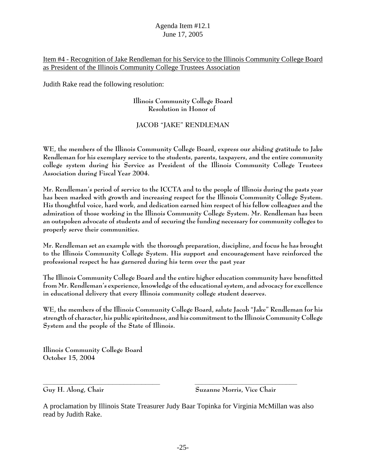## Item #4 - Recognition of Jake Rendleman for his Service to the Illinois Community College Board as President of the Illinois Community College Trustees Association

Judith Rake read the following resolution:

## **Illinois Community College Board Resolution in Honor of**

## **JACOB "JAKE" RENDLEMAN**

**WE, the members of the Illinois Community College Board, express our abiding gratitude to Jake Rendleman for his exemplary service to the students, parents, taxpayers, and the entire community college system during his Service as President of the Illinois Community College Trustees Association during Fiscal Year 2004.** 

**Mr. Rendleman's period of service to the ICCTA and to the people of Illinois during the pasts year has been marked with growth and increasing respect for the Illinois Community College System. His thoughtful voice, hard work, and dedication earned him respect of his fellow colleagues and the admiration of those working in the Illinois Community College System. Mr. Rendleman has been an outspoken advocate of students and of securing the funding necessary for community colleges to properly serve their communities.**

**Mr. Rendleman set an example with the thorough preparation, discipline, and focus he has brought to the Illinois Community College System. His support and encouragement have reinforced the professional respect he has garnered during his term over the past year**

**The Illinois Community College Board and the entire higher education community have benefitted from Mr. Rendleman's experience, knowledge of the educational system, and advocacy for excellence in educational delivery that every Illinois community college student deserves.**

**WE, the members of the Illinois Community College Board, salute Jacob "Jake" Rendleman for his strength of character, his public spiritedness, and his commitment to the Illinois Community College System and the people of the State of Illinois.**

**Illinois Community College Board October 15, 2004**

**Guy H. Along, Chair Suzanne Morris, Vice Chair** 

A proclamation by Illinois State Treasurer Judy Baar Topinka for Virginia McMillan was also read by Judith Rake.

**\_\_\_\_\_\_\_\_\_\_\_\_\_\_\_\_\_\_\_\_\_\_\_\_\_\_\_\_\_\_\_\_ \_\_\_\_\_\_\_\_\_\_\_\_\_\_\_\_\_\_\_\_\_\_\_\_\_\_\_\_**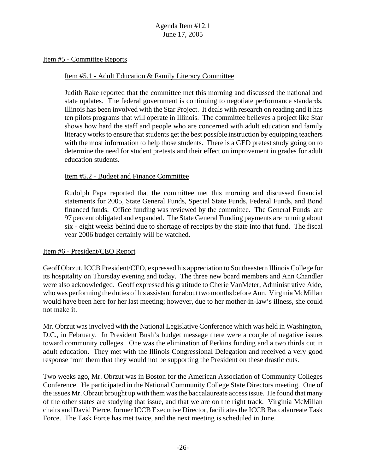#### Item #5 - Committee Reports

#### Item #5.1 - Adult Education & Family Literacy Committee

Judith Rake reported that the committee met this morning and discussed the national and state updates. The federal government is continuing to negotiate performance standards. Illinois has been involved with the Star Project. It deals with research on reading and it has ten pilots programs that will operate in Illinois. The committee believes a project like Star shows how hard the staff and people who are concerned with adult education and family literacy works to ensure that students get the best possible instruction by equipping teachers with the most information to help those students. There is a GED pretest study going on to determine the need for student pretests and their effect on improvement in grades for adult education students.

#### Item #5.2 - Budget and Finance Committee

Rudolph Papa reported that the committee met this morning and discussed financial statements for 2005, State General Funds, Special State Funds, Federal Funds, and Bond financed funds. Office funding was reviewed by the committee. The General Funds are 97 percent obligated and expanded. The State General Funding payments are running about six - eight weeks behind due to shortage of receipts by the state into that fund. The fiscal year 2006 budget certainly will be watched.

#### Item #6 - President/CEO Report

Geoff Obrzut, ICCB President/CEO, expressed his appreciation to Southeastern Illinois College for its hospitality on Thursday evening and today. The three new board members and Ann Chandler were also acknowledged. Geoff expressed his gratitude to Cherie VanMeter, Administrative Aide, who was performing the duties of his assistant for about two months before Ann. Virginia McMillan would have been here for her last meeting; however, due to her mother-in-law's illness, she could not make it.

Mr. Obrzut was involved with the National Legislative Conference which was held in Washington, D.C., in February. In President Bush's budget message there were a couple of negative issues toward community colleges. One was the elimination of Perkins funding and a two thirds cut in adult education. They met with the Illinois Congressional Delegation and received a very good response from them that they would not be supporting the President on these drastic cuts.

Two weeks ago, Mr. Obrzut was in Boston for the American Association of Community Colleges Conference. He participated in the National Community College State Directors meeting. One of the issues Mr. Obrzut brought up with them was the baccalaureate access issue. He found that many of the other states are studying that issue, and that we are on the right track. Virginia McMillan chairs and David Pierce, former ICCB Executive Director, facilitates the ICCB Baccalaureate Task Force. The Task Force has met twice, and the next meeting is scheduled in June.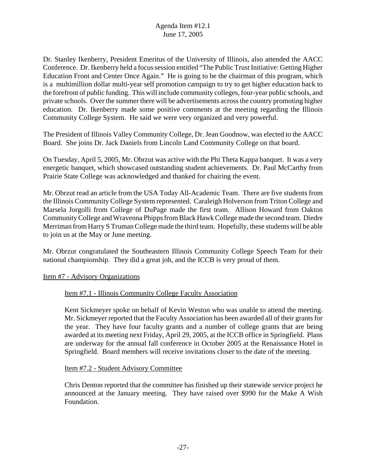Dr. Stanley Ikenberry, President Emeritus of the University of Illinois, also attended the AACC Conference. Dr. Ikenberry held a focus session entitled "The Public Trust Initiative: Getting Higher Education Front and Center Once Again." He is going to be the chairman of this program, which is a multimillion dollar multi-year self promotion campaign to try to get higher education back to the forefront of public funding. This will include community colleges, four-year public schools, and private schools. Over the summer there will be advertisements across the country promoting higher education. Dr. Ikenberry made some positive comments at the meeting regarding the Illinois Community College System. He said we were very organized and very powerful.

The President of Illinois Valley Community College, Dr. Jean Goodnow, was elected to the AACC Board. She joins Dr. Jack Daniels from Lincoln Land Community College on that board.

On Tuesday, April 5, 2005, Mr. Obrzut was active with the Phi Theta Kappa banquet. It was a very energetic banquet, which showcased outstanding student achievements. Dr. Paul McCarthy from Prairie State College was acknowledged and thanked for chairing the event.

Mr. Obrzut read an article from the USA Today All-Academic Team. There are five students from the Illinois Community College System represented. Caraleigh Holverson from Triton College and Marsela Jorgolli from College of DuPage made the first team. Allison Howard from Oakton Community College and Wravenna Phipps from Black Hawk College made the second team. Diedre Merriman from Harry S Truman College made the third team.Hopefully, these students will be able to join us at the May or June meeting.

Mr. Obrzut congratulated the Southeastern Illinois Community College Speech Team for their national championship. They did a great job, and the ICCB is very proud of them.

Item #7 - Advisory Organizations

## Item #7.1 - Illinois Community College Faculty Association

Kent Sickmeyer spoke on behalf of Kevin Weston who was unable to attend the meeting. Mr. Sickmeyer reported that the Faculty Association has been awarded all of their grants for the year. They have four faculty grants and a number of college grants that are being awarded at its meeting next Friday, April 29, 2005, at the ICCB office in Springfield. Plans are underway for the annual fall conference in October 2005 at the Renaissance Hotel in Springfield. Board members will receive invitations closer to the date of the meeting.

#### Item #7.2 - Student Advisory Committee

Chris Denton reported that the committee has finished up their statewide service project he announced at the January meeting. They have raised over \$990 for the Make A Wish Foundation.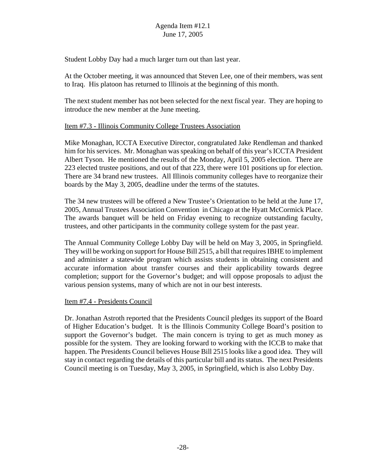Student Lobby Day had a much larger turn out than last year.

At the October meeting, it was announced that Steven Lee, one of their members, was sent to Iraq. His platoon has returned to Illinois at the beginning of this month.

The next student member has not been selected for the next fiscal year. They are hoping to introduce the new member at the June meeting.

## Item #7.3 - Illinois Community College Trustees Association

Mike Monaghan, ICCTA Executive Director, congratulated Jake Rendleman and thanked him for his services. Mr. Monaghan was speaking on behalf of this year's ICCTA President Albert Tyson. He mentioned the results of the Monday, April 5, 2005 election. There are 223 elected trustee positions, and out of that 223, there were 101 positions up for election. There are 34 brand new trustees. All Illinois community colleges have to reorganize their boards by the May 3, 2005, deadline under the terms of the statutes.

The 34 new trustees will be offered a New Trustee's Orientation to be held at the June 17, 2005, Annual Trustees Association Convention in Chicago at the Hyatt McCormick Place. The awards banquet will be held on Friday evening to recognize outstanding faculty, trustees, and other participants in the community college system for the past year.

The Annual Community College Lobby Day will be held on May 3, 2005, in Springfield. They will be working on support for House Bill 2515, a bill that requires IBHE to implement and administer a statewide program which assists students in obtaining consistent and accurate information about transfer courses and their applicability towards degree completion; support for the Governor's budget; and will oppose proposals to adjust the various pension systems, many of which are not in our best interests.

## Item #7.4 - Presidents Council

Dr. Jonathan Astroth reported that the Presidents Council pledges its support of the Board of Higher Education's budget. It is the Illinois Community College Board's position to support the Governor's budget. The main concern is trying to get as much money as possible for the system. They are looking forward to working with the ICCB to make that happen. The Presidents Council believes House Bill 2515 looks like a good idea. They will stay in contact regarding the details of this particular bill and its status. The next Presidents Council meeting is on Tuesday, May 3, 2005, in Springfield, which is also Lobby Day.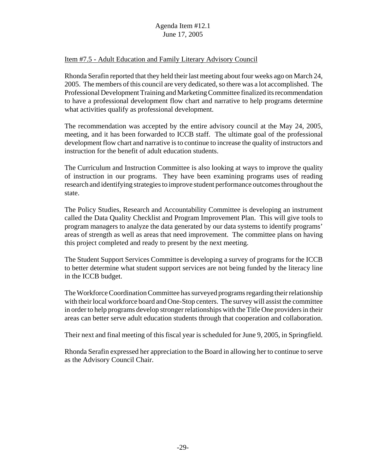## Item #7.5 - Adult Education and Family Literary Advisory Council

Rhonda Serafin reported that they held their last meeting about four weeks ago on March 24, 2005. The members of this council are very dedicated, so there was a lot accomplished. The Professional Development Training and Marketing Committee finalized its recommendation to have a professional development flow chart and narrative to help programs determine what activities qualify as professional development.

The recommendation was accepted by the entire advisory council at the May 24, 2005, meeting, and it has been forwarded to ICCB staff. The ultimate goal of the professional development flow chart and narrative is to continue to increase the quality of instructors and instruction for the benefit of adult education students.

The Curriculum and Instruction Committee is also looking at ways to improve the quality of instruction in our programs. They have been examining programs uses of reading research and identifying strategies to improve student performance outcomes throughout the state.

The Policy Studies, Research and Accountability Committee is developing an instrument called the Data Quality Checklist and Program Improvement Plan. This will give tools to program managers to analyze the data generated by our data systems to identify programs' areas of strength as well as areas that need improvement. The committee plans on having this project completed and ready to present by the next meeting.

The Student Support Services Committee is developing a survey of programs for the ICCB to better determine what student support services are not being funded by the literacy line in the ICCB budget.

The Workforce Coordination Committee has surveyed programs regarding their relationship with their local workforce board and One-Stop centers. The survey will assist the committee in order to help programs develop stronger relationships with the Title One providers in their areas can better serve adult education students through that cooperation and collaboration.

Their next and final meeting of this fiscal year is scheduled for June 9, 2005, in Springfield.

Rhonda Serafin expressed her appreciation to the Board in allowing her to continue to serve as the Advisory Council Chair.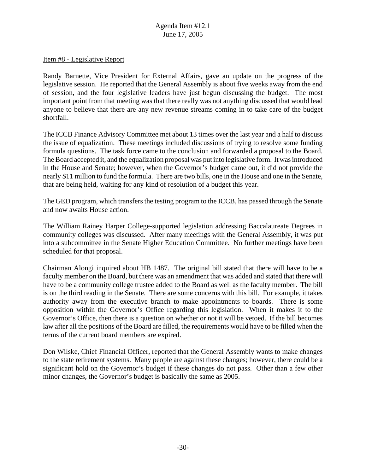#### Item #8 - Legislative Report

Randy Barnette, Vice President for External Affairs, gave an update on the progress of the legislative session. He reported that the General Assembly is about five weeks away from the end of session, and the four legislative leaders have just begun discussing the budget. The most important point from that meeting was that there really was not anything discussed that would lead anyone to believe that there are any new revenue streams coming in to take care of the budget shortfall.

The ICCB Finance Advisory Committee met about 13 times over the last year and a half to discuss the issue of equalization. These meetings included discussions of trying to resolve some funding formula questions. The task force came to the conclusion and forwarded a proposal to the Board. The Board accepted it, and the equalization proposal was put into legislative form. It was introduced in the House and Senate; however, when the Governor's budget came out, it did not provide the nearly \$11 million to fund the formula. There are two bills, one in the House and one in the Senate, that are being held, waiting for any kind of resolution of a budget this year.

The GED program, which transfers the testing program to the ICCB, has passed through the Senate and now awaits House action.

The William Rainey Harper College-supported legislation addressing Baccalaureate Degrees in community colleges was discussed. After many meetings with the General Assembly, it was put into a subcommittee in the Senate Higher Education Committee. No further meetings have been scheduled for that proposal.

Chairman Alongi inquired about HB 1487. The original bill stated that there will have to be a faculty member on the Board, but there was an amendment that was added and stated that there will have to be a community college trustee added to the Board as well as the faculty member. The bill is on the third reading in the Senate. There are some concerns with this bill. For example, it takes authority away from the executive branch to make appointments to boards. There is some opposition within the Governor's Office regarding this legislation. When it makes it to the Governor's Office, then there is a question on whether or not it will be vetoed. If the bill becomes law after all the positions of the Board are filled, the requirements would have to be filled when the terms of the current board members are expired.

Don Wilske, Chief Financial Officer, reported that the General Assembly wants to make changes to the state retirement systems. Many people are against these changes; however, there could be a significant hold on the Governor's budget if these changes do not pass. Other than a few other minor changes, the Governor's budget is basically the same as 2005.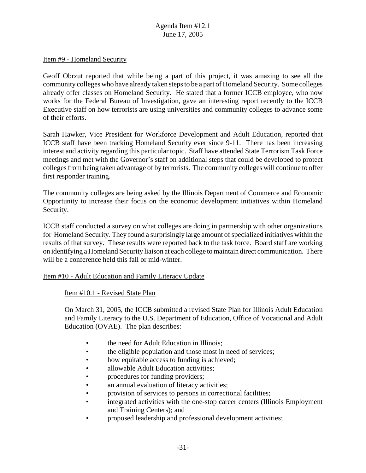#### Item #9 - Homeland Security

Geoff Obrzut reported that while being a part of this project, it was amazing to see all the community colleges who have already taken steps to be a part of Homeland Security. Some colleges already offer classes on Homeland Security. He stated that a former ICCB employee, who now works for the Federal Bureau of Investigation, gave an interesting report recently to the ICCB Executive staff on how terrorists are using universities and community colleges to advance some of their efforts.

Sarah Hawker, Vice President for Workforce Development and Adult Education, reported that ICCB staff have been tracking Homeland Security ever since 9-11. There has been increasing interest and activity regarding this particular topic. Staff have attended State Terrorism Task Force meetings and met with the Governor's staff on additional steps that could be developed to protect colleges from being taken advantage of by terrorists. The community colleges will continue to offer first responder training.

The community colleges are being asked by the Illinois Department of Commerce and Economic Opportunity to increase their focus on the economic development initiatives within Homeland Security.

ICCB staff conducted a survey on what colleges are doing in partnership with other organizations for Homeland Security. They found a surprisingly large amount of specialized initiatives within the results of that survey. These results were reported back to the task force. Board staff are working on identifying a Homeland Security liaison at each college to maintain direct communication. There will be a conference held this fall or mid-winter.

#### Item #10 - Adult Education and Family Literacy Update

#### Item #10.1 - Revised State Plan

On March 31, 2005, the ICCB submitted a revised State Plan for Illinois Adult Education and Family Literacy to the U.S. Department of Education, Office of Vocational and Adult Education (OVAE). The plan describes:

- the need for Adult Education in Illinois:
- the eligible population and those most in need of services;
- how equitable access to funding is achieved;
- allowable Adult Education activities;
- procedures for funding providers;
- an annual evaluation of literacy activities;
- provision of services to persons in correctional facilities;
- integrated activities with the one-stop career centers (Illinois Employment and Training Centers); and
- proposed leadership and professional development activities;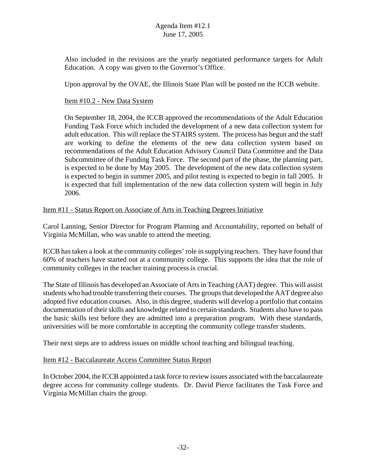Also included in the revisions are the yearly negotiated performance targets for Adult Education. A copy was given to the Governor's Office.

Upon approval by the OVAE, the Illinois State Plan will be posted on the ICCB website.

## Item #10.2 - New Data System

On September 18, 2004, the ICCB approved the recommendations of the Adult Education Funding Task Force which included the development of a new data collection system for adult education. This will replace the STAIRS system. The process has begun and the staff are working to define the elements of the new data collection system based on recommendations of the Adult Education Advisory Council Data Committee and the Data Subcommittee of the Funding Task Force. The second part of the phase, the planning part, is expected to be done by May 2005. The development of the new data collection system is expected to begin in summer 2005, and pilot testing is expected to begin in fall 2005. It is expected that full implementation of the new data collection system will begin in July 2006.

## Item #11 - Status Report on Associate of Arts in Teaching Degrees Initiative

Carol Lanning, Senior Director for Program Planning and Accountability, reported on behalf of Virginia McMillan, who was unable to attend the meeting.

ICCB has taken a look at the community colleges' role in supplying teachers. They have found that 60% of teachers have started out at a community college. This supports the idea that the role of community colleges in the teacher training process is crucial.

The State of Illinois has developed an Associate of Arts in Teaching (AAT) degree. This will assist students who had trouble transferring their courses. The groups that developed the AAT degree also adopted five education courses. Also, in this degree, students will develop a portfolio that contains documentation of their skills and knowledge related to certain standards. Students also have to pass the basic skills test before they are admitted into a preparation program. With these standards, universities will be more comfortable in accepting the community college transfer students.

Their next steps are to address issues on middle school teaching and bilingual teaching.

## Item #12 - Baccalaureate Access Committee Status Report

In October 2004, the ICCB appointed a task force to review issues associated with the baccalaureate degree access for community college students. Dr. David Pierce facilitates the Task Force and Virginia McMillan chairs the group.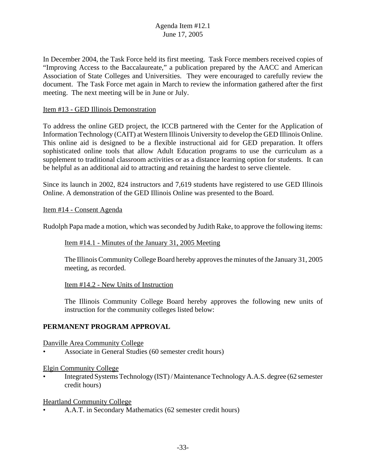In December 2004, the Task Force held its first meeting. Task Force members received copies of "Improving Access to the Baccalaureate," a publication prepared by the AACC and American Association of State Colleges and Universities. They were encouraged to carefully review the document. The Task Force met again in March to review the information gathered after the first meeting. The next meeting will be in June or July.

## Item #13 - GED Illinois Demonstration

To address the online GED project, the ICCB partnered with the Center for the Application of Information Technology (CAIT) at Western Illinois University to develop the GED Illinois Online. This online aid is designed to be a flexible instructional aid for GED preparation. It offers sophisticated online tools that allow Adult Education programs to use the curriculum as a supplement to traditional classroom activities or as a distance learning option for students. It can be helpful as an additional aid to attracting and retaining the hardest to serve clientele.

Since its launch in 2002, 824 instructors and 7,619 students have registered to use GED Illinois Online. A demonstration of the GED Illinois Online was presented to the Board.

#### Item #14 - Consent Agenda

Rudolph Papa made a motion, which was seconded by Judith Rake, to approve the following items:

#### Item #14.1 - Minutes of the January 31, 2005 Meeting

The Illinois Community College Board hereby approves the minutes of the January 31, 2005 meeting, as recorded.

Item #14.2 - New Units of Instruction

The Illinois Community College Board hereby approves the following new units of instruction for the community colleges listed below:

## **PERMANENT PROGRAM APPROVAL**

Danville Area Community College

• Associate in General Studies (60 semester credit hours)

#### Elgin Community College

• Integrated Systems Technology (IST) / Maintenance Technology A.A.S. degree (62 semester credit hours)

#### Heartland Community College

• A.A.T. in Secondary Mathematics (62 semester credit hours)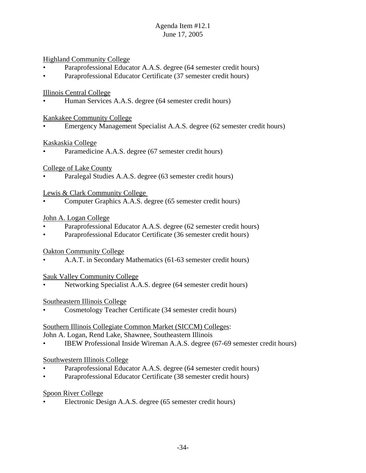Highland Community College

- Paraprofessional Educator A.A.S. degree (64 semester credit hours)
- Paraprofessional Educator Certificate (37 semester credit hours)

## Illinois Central College

• Human Services A.A.S. degree (64 semester credit hours)

#### Kankakee Community College

• Emergency Management Specialist A.A.S. degree (62 semester credit hours)

#### Kaskaskia College

Paramedicine A.A.S. degree (67 semester credit hours)

#### College of Lake County

Paralegal Studies A.A.S. degree (63 semester credit hours)

#### Lewis & Clark Community College

• Computer Graphics A.A.S. degree (65 semester credit hours)

#### John A. Logan College

- Paraprofessional Educator A.A.S. degree (62 semester credit hours)
- Paraprofessional Educator Certificate (36 semester credit hours)

## Oakton Community College

• A.A.T. in Secondary Mathematics (61-63 semester credit hours)

## Sauk Valley Community College

• Networking Specialist A.A.S. degree (64 semester credit hours)

## Southeastern Illinois College

• Cosmetology Teacher Certificate (34 semester credit hours)

#### Southern Illinois Collegiate Common Market (SICCM) Colleges:

John A. Logan, Rend Lake, Shawnee, Southeastern Illinois

• IBEW Professional Inside Wireman A.A.S. degree (67-69 semester credit hours)

## Southwestern Illinois College

- Paraprofessional Educator A.A.S. degree (64 semester credit hours)
- Paraprofessional Educator Certificate (38 semester credit hours)

## Spoon River College

• Electronic Design A.A.S. degree (65 semester credit hours)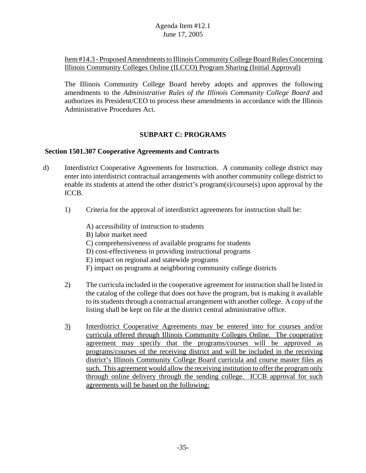## Item #14.3 - Proposed Amendments to Illinois Community College Board Rules Concerning Illinois Community Colleges Online (ILCCO) Program Sharing (Initial Approval)

The Illinois Community College Board hereby adopts and approves the following amendments to the *Administrative Rules of the Illinois Community College Board* and authorizes its President/CEO to process these amendments in accordance with the Illinois Administrative Procedures Act.

## **SUBPART C: PROGRAMS**

#### **Section 1501.307 Cooperative Agreements and Contracts**

- d) Interdistrict Cooperative Agreements for Instruction. A community college district may enter into interdistrict contractual arrangements with another community college district to enable its students at attend the other district's program(s)/course(s) upon approval by the ICCB.
	- 1) Criteria for the approval of interdistrict agreements for instruction shall be:
		- A) accessibility of instruction to students B) labor market need
		- C) comprehensiveness of available programs for students
		- D) cost-effectiveness in providing instructional programs
		- E) impact on regional and statewide programs
		- F) impact on programs at neighboring community college districts
	- 2) The curricula included in the cooperative agreement for instruction shall be listed in the catalog of the college that does not have the program, but is making it available to its students through a contractual arrangement with another college. A copy of the listing shall be kept on file at the district central administrative office.
	- 3) Interdistrict Cooperative Agreements may be entered into for courses and/or curricula offered through Illinois Community Colleges Online. The cooperative agreement may specify that the programs/courses will be approved as programs/courses of the receiving district and will be included in the receiving district's Illinois Community College Board curricula and course master files as such. This agreement would allow the receiving institution to offer the program only through online delivery through the sending college. ICCB approval for such agreements will be based on the following: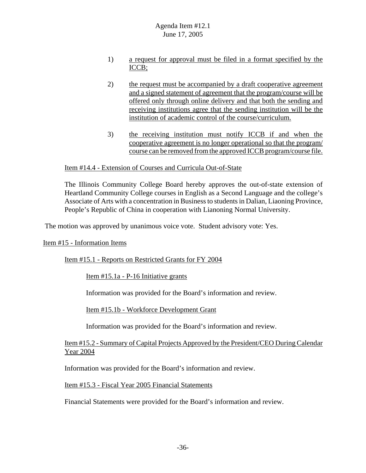- 1) a request for approval must be filed in a format specified by the ICCB;
- 2) the request must be accompanied by a draft cooperative agreement and a signed statement of agreement that the program/course will be offered only through online delivery and that both the sending and receiving institutions agree that the sending institution will be the institution of academic control of the course/curriculum.
- 3) the receiving institution must notify ICCB if and when the cooperative agreement is no longer operational so that the program/ course can be removed from the approved ICCB program/course file.

#### Item #14.4 - Extension of Courses and Curricula Out-of-State

The Illinois Community College Board hereby approves the out-of-state extension of Heartland Community College courses in English as a Second Language and the college's Associate of Arts with a concentration in Business to students in Dalian, Liaoning Province, People's Republic of China in cooperation with Lianoning Normal University.

The motion was approved by unanimous voice vote. Student advisory vote: Yes.

#### Item #15 - Information Items

Item #15.1 - Reports on Restricted Grants for FY 2004

Item #15.1a - P-16 Initiative grants

Information was provided for the Board's information and review.

Item #15.1b - Workforce Development Grant

Information was provided for the Board's information and review.

#### Item #15.2 - Summary of Capital Projects Approved by the President/CEO During Calendar Year 2004

Information was provided for the Board's information and review.

Item #15.3 - Fiscal Year 2005 Financial Statements

Financial Statements were provided for the Board's information and review.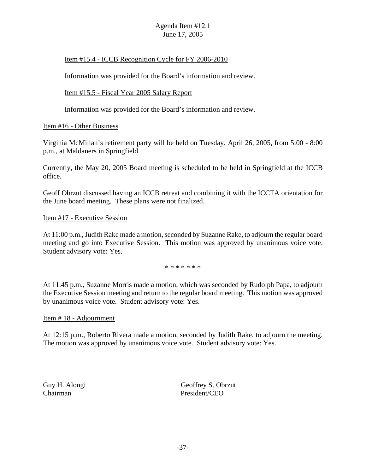## Item #15.4 - ICCB Recognition Cycle for FY 2006-2010

Information was provided for the Board's information and review.

Item #15.5 - Fiscal Year 2005 Salary Report

Information was provided for the Board's information and review.

## Item #16 - Other Business

Virginia McMillan's retirement party will be held on Tuesday, April 26, 2005, from 5:00 - 8:00 p.m., at Maldaners in Springfield.

Currently, the May 20, 2005 Board meeting is scheduled to be held in Springfield at the ICCB office.

Geoff Obrzut discussed having an ICCB retreat and combining it with the ICCTA orientation for the June board meeting. These plans were not finalized.

#### Item #17 - Executive Session

At 11:00 p.m., Judith Rake made a motion, seconded by Suzanne Rake, to adjourn the regular board meeting and go into Executive Session. This motion was approved by unanimous voice vote. Student advisory vote: Yes.

\* \* \* \* \* \* \*

At 11:45 p.m., Suzanne Morris made a motion, which was seconded by Rudolph Papa, to adjourn the Executive Session meeting and return to the regular board meeting. This motion was approved by unanimous voice vote. Student advisory vote: Yes.

## Item # 18 - Adjournment

At 12:15 p.m., Roberto Rivera made a motion, seconded by Judith Rake, to adjourn the meeting. The motion was approved by unanimous voice vote. Student advisory vote: Yes.

 $\overline{a}$ 

Guy H. Alongi Geoffrey S. Obrzut Chairman President/CEO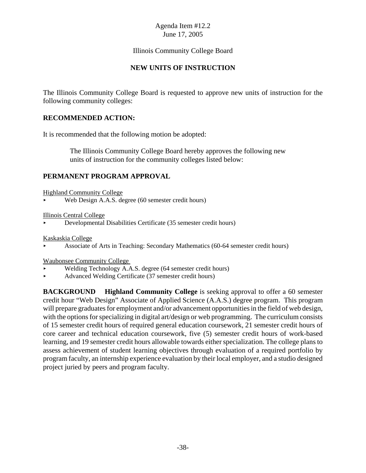## Illinois Community College Board

## **NEW UNITS OF INSTRUCTION**

The Illinois Community College Board is requested to approve new units of instruction for the following community colleges:

## **RECOMMENDED ACTION:**

It is recommended that the following motion be adopted:

 The Illinois Community College Board hereby approves the following new units of instruction for the community colleges listed below:

## **PERMANENT PROGRAM APPROVAL**

Highland Community College

Web Design A.A.S. degree (60 semester credit hours)

#### Illinois Central College

< Developmental Disabilities Certificate (35 semester credit hours)

Kaskaskia College

< Associate of Arts in Teaching: Secondary Mathematics (60-64 semester credit hours)

Waubonsee Community College

- Welding Technology A.A.S. degree (64 semester credit hours)
- < Advanced Welding Certificate (37 semester credit hours)

**BACKGROUND Highland Community College** is seeking approval to offer a 60 semester credit hour "Web Design" Associate of Applied Science (A.A.S.) degree program. This program will prepare graduates for employment and/or advancement opportunities in the field of web design, with the options for specializing in digital art/design or web programming. The curriculum consists of 15 semester credit hours of required general education coursework, 21 semester credit hours of core career and technical education coursework, five (5) semester credit hours of work-based learning, and 19 semester credit hours allowable towards either specialization. The college plans to assess achievement of student learning objectives through evaluation of a required portfolio by program faculty, an internship experience evaluation by their local employer, and a studio designed project juried by peers and program faculty.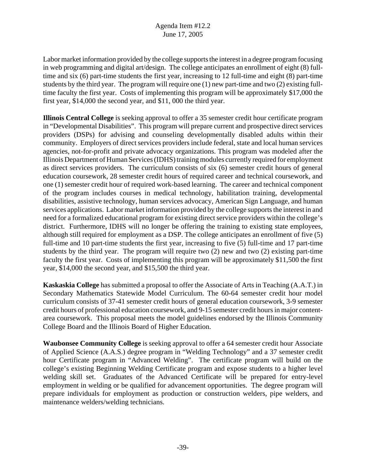Labor market information provided by the college supports the interest in a degree program focusing in web programming and digital art/design. The college anticipates an enrollment of eight (8) fulltime and six (6) part-time students the first year, increasing to 12 full-time and eight (8) part-time students by the third year. The program will require one (1) new part-time and two (2) existing fulltime faculty the first year. Costs of implementing this program will be approximately \$17,000 the first year, \$14,000 the second year, and \$11, 000 the third year.

**Illinois Central College** is seeking approval to offer a 35 semester credit hour certificate program in "Developmental Disabilities". This program will prepare current and prospective direct services providers (DSPs) for advising and counseling developmentally disabled adults within their community. Employers of direct services providers include federal, state and local human services agencies, not-for-profit and private advocacy organizations. This program was modeled after the Illinois Department of Human Services (IDHS) training modules currently required for employment as direct services providers. The curriculum consists of six (6) semester credit hours of general education coursework, 28 semester credit hours of required career and technical coursework, and one (1) semester credit hour of required work-based learning. The career and technical component of the program includes courses in medical technology, habilitation training, developmental disabilities, assistive technology, human services advocacy, American Sign Language, and human services applications. Labor market information provided by the college supports the interest in and need for a formalized educational program for existing direct service providers within the college's district. Furthermore, IDHS will no longer be offering the training to existing state employees, although still required for employment as a DSP. The college anticipates an enrollment of five (5) full-time and 10 part-time students the first year, increasing to five (5) full-time and 17 part-time students by the third year. The program will require two (2) new and two (2) existing part-time faculty the first year. Costs of implementing this program will be approximately \$11,500 the first year, \$14,000 the second year, and \$15,500 the third year.

**Kaskaskia College** has submitted a proposal to offer the Associate of Arts in Teaching (A.A.T.) in Secondary Mathematics Statewide Model Curriculum. The 60-64 semester credit hour model curriculum consists of 37-41 semester credit hours of general education coursework, 3-9 semester credit hours of professional education coursework, and 9-15 semester credit hours in major contentarea coursework. This proposal meets the model guidelines endorsed by the Illinois Community College Board and the Illinois Board of Higher Education.

**Waubonsee Community College** is seeking approval to offer a 64 semester credit hour Associate of Applied Science (A.A.S.) degree program in "Welding Technology" and a 37 semester credit hour Certificate program in "Advanced Welding". The certificate program will build on the college's existing Beginning Welding Certificate program and expose students to a higher level welding skill set. Graduates of the Advanced Certificate will be prepared for entry-level employment in welding or be qualified for advancement opportunities. The degree program will prepare individuals for employment as production or construction welders, pipe welders, and maintenance welders/welding technicians.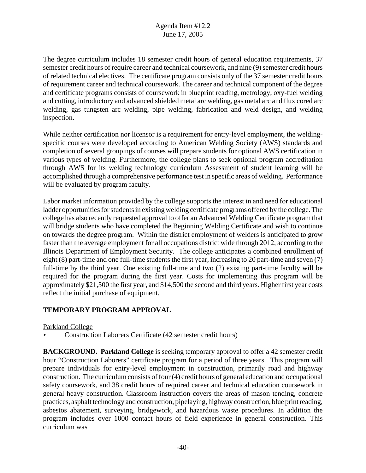The degree curriculum includes 18 semester credit hours of general education requirements, 37 semester credit hours of require career and technical coursework, and nine (9) semester credit hours of related technical electives. The certificate program consists only of the 37 semester credit hours of requirement career and technical coursework. The career and technical component of the degree and certificate programs consists of coursework in blueprint reading, metrology, oxy-fuel welding and cutting, introductory and advanced shielded metal arc welding, gas metal arc and flux cored arc welding, gas tungsten arc welding, pipe welding, fabrication and weld design, and welding inspection.

While neither certification nor licensor is a requirement for entry-level employment, the weldingspecific courses were developed according to American Welding Society (AWS) standards and completion of several groupings of courses will prepare students for optional AWS certification in various types of welding. Furthermore, the college plans to seek optional program accreditation through AWS for its welding technology curriculum Assessment of student learning will be accomplished through a comprehensive performance test in specific areas of welding. Performance will be evaluated by program faculty.

Labor market information provided by the college supports the interest in and need for educational ladder opportunities for students in existing welding certificate programs offered by the college. The college has also recently requested approval to offer an Advanced Welding Certificate program that will bridge students who have completed the Beginning Welding Certificate and wish to continue on towards the degree program. Within the district employment of welders is anticipated to grow faster than the average employment for all occupations district wide through 2012, according to the Illinois Department of Employment Security. The college anticipates a combined enrollment of eight (8) part-time and one full-time students the first year, increasing to 20 part-time and seven (7) full-time by the third year. One existing full-time and two (2) existing part-time faculty will be required for the program during the first year. Costs for implementing this program will be approximately \$21,500 the first year, and \$14,500 the second and third years. Higher first year costs reflect the initial purchase of equipment.

## **TEMPORARY PROGRAM APPROVAL**

## Parkland College

< Construction Laborers Certificate (42 semester credit hours)

**BACKGROUND. Parkland College** is seeking temporary approval to offer a 42 semester credit hour "Construction Laborers" certificate program for a period of three years. This program will prepare individuals for entry-level employment in construction, primarily road and highway construction. The curriculum consists of four (4) credit hours of general education and occupational safety coursework, and 38 credit hours of required career and technical education coursework in general heavy construction. Classroom instruction covers the areas of mason tending, concrete practices, asphalt technology and construction, pipelaying, highway construction, blue print reading, asbestos abatement, surveying, bridgework, and hazardous waste procedures. In addition the program includes over 1000 contact hours of field experience in general construction. This curriculum was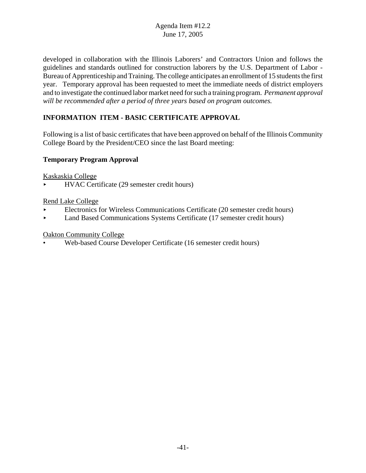developed in collaboration with the Illinois Laborers' and Contractors Union and follows the guidelines and standards outlined for construction laborers by the U.S. Department of Labor - Bureau of Apprenticeship and Training. The college anticipates an enrollment of 15 students the first year. Temporary approval has been requested to meet the immediate needs of district employers and to investigate the continued labor market need for such a training program. *Permanent approval will be recommended after a period of three years based on program outcomes.* 

# **INFORMATION ITEM - BASIC CERTIFICATE APPROVAL**

Following is a list of basic certificates that have been approved on behalf of the Illinois Community College Board by the President/CEO since the last Board meeting:

## **Temporary Program Approval**

Kaskaskia College

< HVAC Certificate (29 semester credit hours)

## Rend Lake College

- < Electronics for Wireless Communications Certificate (20 semester credit hours)
- **Land Based Communications Systems Certificate (17 semester credit hours)**

## Oakton Community College

• Web-based Course Developer Certificate (16 semester credit hours)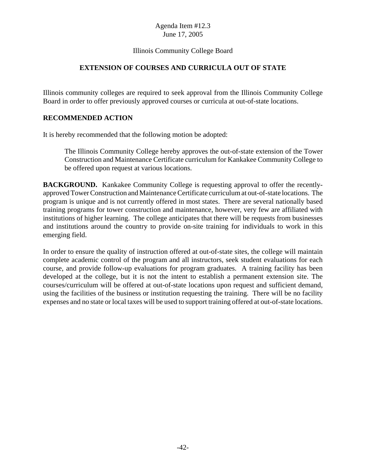## Illinois Community College Board

## **EXTENSION OF COURSES AND CURRICULA OUT OF STATE**

Illinois community colleges are required to seek approval from the Illinois Community College Board in order to offer previously approved courses or curricula at out-of-state locations.

## **RECOMMENDED ACTION**

It is hereby recommended that the following motion be adopted:

The Illinois Community College hereby approves the out-of-state extension of the Tower Construction and Maintenance Certificate curriculum for Kankakee Community College to be offered upon request at various locations.

**BACKGROUND.** Kankakee Community College is requesting approval to offer the recentlyapproved Tower Construction and Maintenance Certificate curriculum at out-of-state locations. The program is unique and is not currently offered in most states. There are several nationally based training programs for tower construction and maintenance, however, very few are affiliated with institutions of higher learning. The college anticipates that there will be requests from businesses and institutions around the country to provide on-site training for individuals to work in this emerging field.

In order to ensure the quality of instruction offered at out-of-state sites, the college will maintain complete academic control of the program and all instructors, seek student evaluations for each course, and provide follow-up evaluations for program graduates. A training facility has been developed at the college, but it is not the intent to establish a permanent extension site. The courses/curriculum will be offered at out-of-state locations upon request and sufficient demand, using the facilities of the business or institution requesting the training. There will be no facility expenses and no state or local taxes will be used to support training offered at out-of-state locations.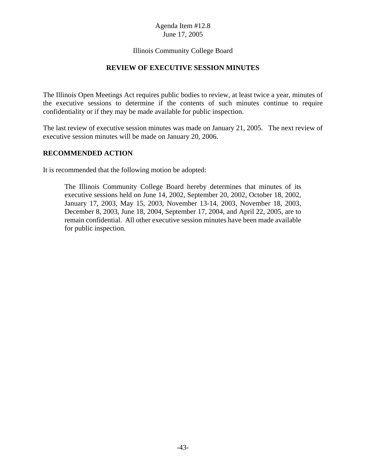## Illinois Community College Board

## **REVIEW OF EXECUTIVE SESSION MINUTES**

The Illinois Open Meetings Act requires public bodies to review, at least twice a year, minutes of the executive sessions to determine if the contents of such minutes continue to require confidentiality or if they may be made available for public inspection.

The last review of executive session minutes was made on January 21, 2005. The next review of executive session minutes will be made on January 20, 2006.

#### **RECOMMENDED ACTION**

It is recommended that the following motion be adopted:

The Illinois Community College Board hereby determines that minutes of its executive sessions held on June 14, 2002, September 20, 2002, October 18, 2002, January 17, 2003, May 15, 2003, November 13-14, 2003, November 18, 2003, December 8, 2003, June 18, 2004, September 17, 2004, and April 22, 2005, are to remain confidential. All other executive session minutes have been made available for public inspection.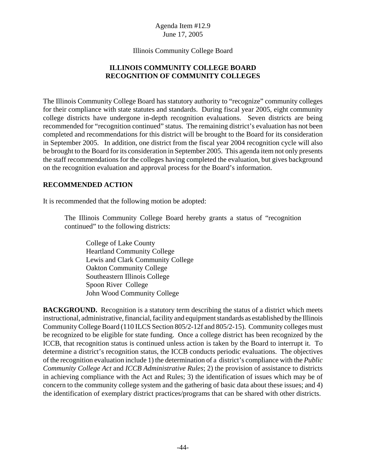#### Illinois Community College Board

## **ILLINOIS COMMUNITY COLLEGE BOARD RECOGNITION OF COMMUNITY COLLEGES**

The Illinois Community College Board has statutory authority to "recognize" community colleges for their compliance with state statutes and standards. During fiscal year 2005, eight community college districts have undergone in-depth recognition evaluations. Seven districts are being recommended for "recognition continued" status. The remaining district's evaluation has not been completed and recommendations for this district will be brought to the Board for its consideration in September 2005. In addition, one district from the fiscal year 2004 recognition cycle will also be brought to the Board for its consideration in September 2005. This agenda item not only presents the staff recommendations for the colleges having completed the evaluation, but gives background on the recognition evaluation and approval process for the Board's information.

#### **RECOMMENDED ACTION**

It is recommended that the following motion be adopted:

The Illinois Community College Board hereby grants a status of "recognition continued" to the following districts:

College of Lake County Heartland Community College Lewis and Clark Community College Oakton Community College Southeastern Illinois College Spoon River College John Wood Community College

**BACKGROUND.** Recognition is a statutory term describing the status of a district which meets instructional, administrative, financial, facility and equipment standards as established by the Illinois Community College Board (110 ILCS Section 805/2-12f and 805/2-15). Community colleges must be recognized to be eligible for state funding. Once a college district has been recognized by the ICCB, that recognition status is continued unless action is taken by the Board to interrupt it. To determine a district's recognition status, the ICCB conducts periodic evaluations. The objectives of the recognition evaluation include 1) the determination of a district's compliance with the *Public Community College Act* and *ICCB Administrative Rules*; 2) the provision of assistance to districts in achieving compliance with the Act and Rules; 3) the identification of issues which may be of concern to the community college system and the gathering of basic data about these issues; and 4) the identification of exemplary district practices/programs that can be shared with other districts.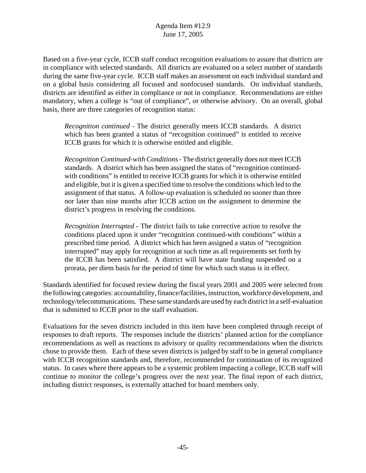Based on a five-year cycle, ICCB staff conduct recognition evaluations to assure that districts are in compliance with selected standards. All districts are evaluated on a select number of standards during the same five-year cycle. ICCB staff makes an assessment on each individual standard and on a global basis considering all focused and nonfocused standards. On individual standards, districts are identified as either in compliance or not in compliance. Recommendations are either mandatory, when a college is "out of compliance", or otherwise advisory. On an overall, global basis, there are three categories of recognition status:

*Recognition continued* - The district generally meets ICCB standards. A district which has been granted a status of "recognition continued" is entitled to receive ICCB grants for which it is otherwise entitled and eligible.

*Recognition Continued-with Conditions* - The district generally does not meet ICCB standards. A district which has been assigned the status of "recognition continuedwith conditions" is entitled to receive ICCB grants for which it is otherwise entitled and eligible, but it is given a specified time to resolve the conditions which led to the assignment of that status. A follow-up evaluation is scheduled no sooner than three nor later than nine months after ICCB action on the assignment to determine the district's progress in resolving the conditions.

*Recognition Interrupted* - The district fails to take corrective action to resolve the conditions placed upon it under "recognition continued-with conditions" within a prescribed time period. A district which has been assigned a status of "recognition interrupted" may apply for recognition at such time as all requirements set forth by the ICCB has been satisfied. A district will have state funding suspended on a prorata, per diem basis for the period of time for which such status is in effect.

Standards identified for focused review during the fiscal years 2001 and 2005 were selected from the following categories: accountability, finance/facilities, instruction, workforce development, and technology/telecommunications. These same standards are used by each district in a self-evaluation that is submitted to ICCB prior to the staff evaluation.

Evaluations for the seven districts included in this item have been completed through receipt of responses to draft reports. The responses include the districts' planned action for the compliance recommendations as well as reactions to advisory or quality recommendations when the districts chose to provide them. Each of these seven districts is judged by staff to be in general compliance with ICCB recognition standards and, therefore, recommended for continuation of its recognized status. In cases where there appears to be a systemic problem impacting a college, ICCB staff will continue to monitor the college's progress over the next year. The final report of each district, including district responses, is externally attached for board members only.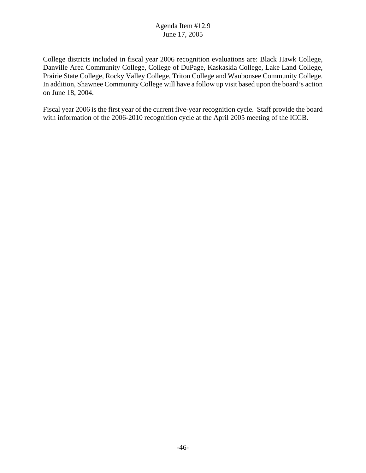College districts included in fiscal year 2006 recognition evaluations are: Black Hawk College, Danville Area Community College, College of DuPage, Kaskaskia College, Lake Land College, Prairie State College, Rocky Valley College, Triton College and Waubonsee Community College. In addition, Shawnee Community College will have a follow up visit based upon the board's action on June 18, 2004.

Fiscal year 2006 is the first year of the current five-year recognition cycle. Staff provide the board with information of the 2006-2010 recognition cycle at the April 2005 meeting of the ICCB.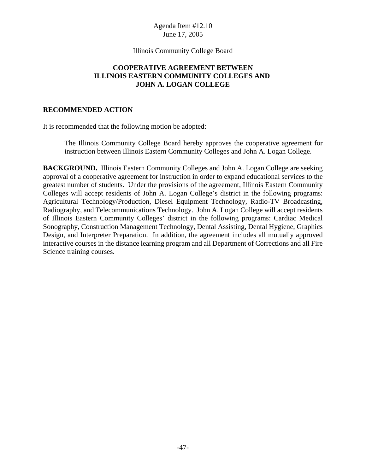#### Illinois Community College Board

## **COOPERATIVE AGREEMENT BETWEEN ILLINOIS EASTERN COMMUNITY COLLEGES AND JOHN A. LOGAN COLLEGE**

#### **RECOMMENDED ACTION**

It is recommended that the following motion be adopted:

The Illinois Community College Board hereby approves the cooperative agreement for instruction between Illinois Eastern Community Colleges and John A. Logan College.

**BACKGROUND.** Illinois Eastern Community Colleges and John A. Logan College are seeking approval of a cooperative agreement for instruction in order to expand educational services to the greatest number of students. Under the provisions of the agreement, Illinois Eastern Community Colleges will accept residents of John A. Logan College's district in the following programs: Agricultural Technology/Production, Diesel Equipment Technology, Radio-TV Broadcasting, Radiography, and Telecommunications Technology. John A. Logan College will accept residents of Illinois Eastern Community Colleges' district in the following programs: Cardiac Medical Sonography, Construction Management Technology, Dental Assisting, Dental Hygiene, Graphics Design, and Interpreter Preparation. In addition, the agreement includes all mutually approved interactive courses in the distance learning program and all Department of Corrections and all Fire Science training courses.